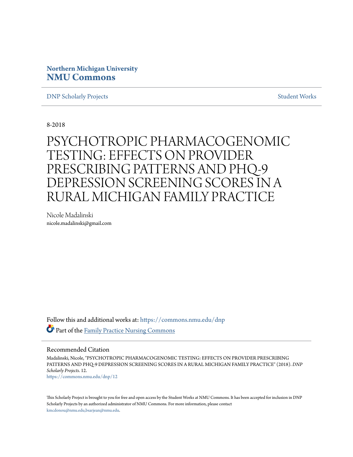# **Northern Michigan University [NMU Commons](https://commons.nmu.edu?utm_source=commons.nmu.edu%2Fdnp%2F12&utm_medium=PDF&utm_campaign=PDFCoverPages)**

**[DNP Scholarly Projects](https://commons.nmu.edu/dnp?utm_source=commons.nmu.edu%2Fdnp%2F12&utm_medium=PDF&utm_campaign=PDFCoverPages)** [Student Works](https://commons.nmu.edu/student_works?utm_source=commons.nmu.edu%2Fdnp%2F12&utm_medium=PDF&utm_campaign=PDFCoverPages)

8-2018

PSYCHOTROPIC PHARMACOGENOMIC TESTING: EFFECTS ON PROVIDER PRESCRIBING PATTERNS AND PHQ-9 DEPRESSION SCREENING SCORES IN A RURAL MICHIGAN FAMILY PRACTICE

Nicole Madalinski nicole.madalinski@gmail.com

Follow this and additional works at: [https://commons.nmu.edu/dnp](https://commons.nmu.edu/dnp?utm_source=commons.nmu.edu%2Fdnp%2F12&utm_medium=PDF&utm_campaign=PDFCoverPages) **Part of the [Family Practice Nursing Commons](http://network.bepress.com/hgg/discipline/720?utm_source=commons.nmu.edu%2Fdnp%2F12&utm_medium=PDF&utm_campaign=PDFCoverPages)** 

# Recommended Citation

Madalinski, Nicole, "PSYCHOTROPIC PHARMACOGENOMIC TESTING: EFFECTS ON PROVIDER PRESCRIBING PATTERNS AND PHQ-9 DEPRESSION SCREENING SCORES IN A RURAL MICHIGAN FAMILY PRACTICE" (2018). *DNP Scholarly Projects*. 12. [https://commons.nmu.edu/dnp/12](https://commons.nmu.edu/dnp/12?utm_source=commons.nmu.edu%2Fdnp%2F12&utm_medium=PDF&utm_campaign=PDFCoverPages)

This Scholarly Project is brought to you for free and open access by the Student Works at NMU Commons. It has been accepted for inclusion in DNP Scholarly Projects by an authorized administrator of NMU Commons. For more information, please contact [kmcdonou@nmu.edu,bsarjean@nmu.edu.](mailto:kmcdonou@nmu.edu,bsarjean@nmu.edu)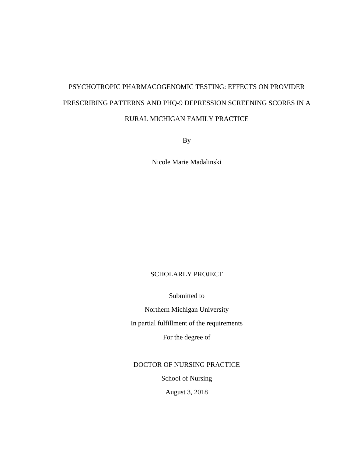# PSYCHOTROPIC PHARMACOGENOMIC TESTING: EFFECTS ON PROVIDER PRESCRIBING PATTERNS AND PHQ-9 DEPRESSION SCREENING SCORES IN A RURAL MICHIGAN FAMILY PRACTICE

By

Nicole Marie Madalinski

# SCHOLARLY PROJECT

Submitted to

Northern Michigan University In partial fulfillment of the requirements

For the degree of

DOCTOR OF NURSING PRACTICE

School of Nursing

August 3, 2018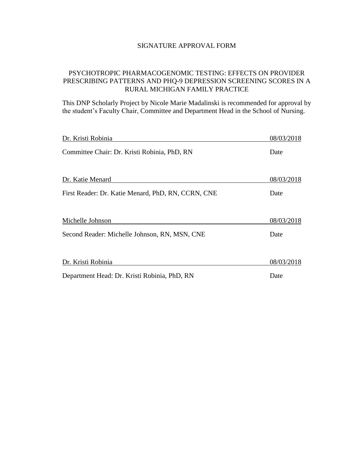# SIGNATURE APPROVAL FORM

# PSYCHOTROPIC PHARMACOGENOMIC TESTING: EFFECTS ON PROVIDER PRESCRIBING PATTERNS AND PHQ-9 DEPRESSION SCREENING SCORES IN A RURAL MICHIGAN FAMILY PRACTICE

This DNP Scholarly Project by Nicole Marie Madalinski is recommended for approval by the student's Faculty Chair, Committee and Department Head in the School of Nursing.

| Dr. Kristi Robinia                                 | 08/03/2018 |
|----------------------------------------------------|------------|
| Committee Chair: Dr. Kristi Robinia, PhD, RN       | Date       |
| Dr. Katie Menard                                   | 08/03/2018 |
|                                                    |            |
| First Reader: Dr. Katie Menard, PhD, RN, CCRN, CNE | Date       |
| Michelle Johnson                                   | 08/03/2018 |
| Second Reader: Michelle Johnson, RN, MSN, CNE      | Date       |
| Dr. Kristi Robinia                                 | 08/03/2018 |
| Department Head: Dr. Kristi Robinia, PhD, RN       | Date       |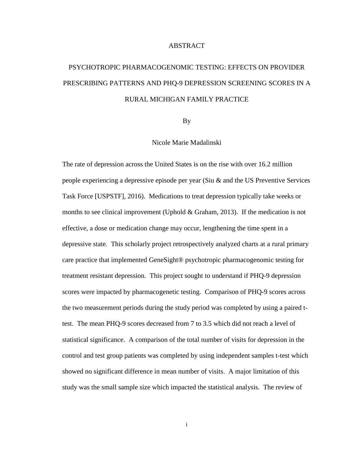# **ABSTRACT**

# PSYCHOTROPIC PHARMACOGENOMIC TESTING: EFFECTS ON PROVIDER PRESCRIBING PATTERNS AND PHQ-9 DEPRESSION SCREENING SCORES IN A RURAL MICHIGAN FAMILY PRACTICE

By

Nicole Marie Madalinski

The rate of depression across the United States is on the rise with over 16.2 million people experiencing a depressive episode per year (Siu & and the US Preventive Services Task Force [USPSTF], 2016). Medications to treat depression typically take weeks or months to see clinical improvement (Uphold & Graham, 2013). If the medication is not effective, a dose or medication change may occur, lengthening the time spent in a depressive state. This scholarly project retrospectively analyzed charts at a rural primary care practice that implemented GeneSight® psychotropic pharmacogenomic testing for treatment resistant depression. This project sought to understand if PHQ-9 depression scores were impacted by pharmacogenetic testing. Comparison of PHQ-9 scores across the two measurement periods during the study period was completed by using a paired ttest. The mean PHQ-9 scores decreased from 7 to 3.5 which did not reach a level of statistical significance. A comparison of the total number of visits for depression in the control and test group patients was completed by using independent samples t-test which showed no significant difference in mean number of visits. A major limitation of this study was the small sample size which impacted the statistical analysis. The review of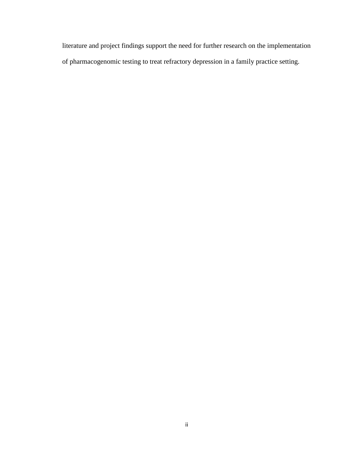literature and project findings support the need for further research on the implementation of pharmacogenomic testing to treat refractory depression in a family practice setting.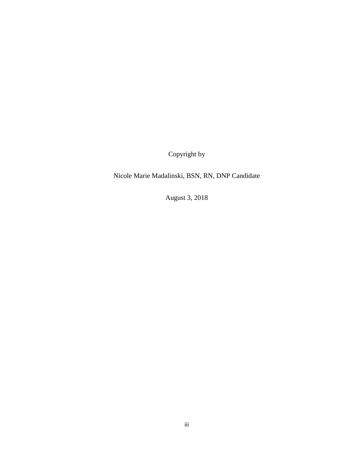Copyright by

Nicole Marie Madalinski, BSN, RN, DNP Candidate

August 3, 2018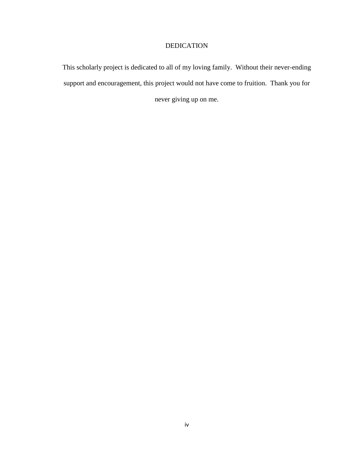# DEDICATION

This scholarly project is dedicated to all of my loving family. Without their never-ending support and encouragement, this project would not have come to fruition. Thank you for never giving up on me.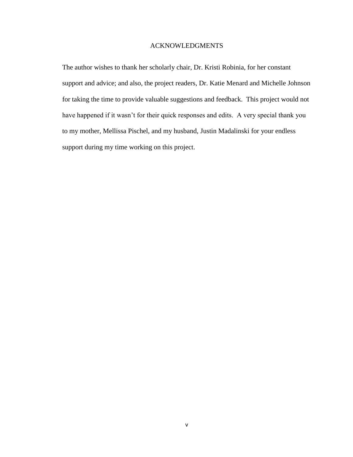# ACKNOWLEDGMENTS

The author wishes to thank her scholarly chair, Dr. Kristi Robinia, for her constant support and advice; and also, the project readers, Dr. Katie Menard and Michelle Johnson for taking the time to provide valuable suggestions and feedback. This project would not have happened if it wasn't for their quick responses and edits. A very special thank you to my mother, Mellissa Pischel, and my husband, Justin Madalinski for your endless support during my time working on this project.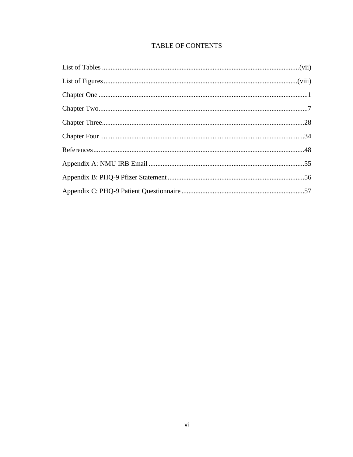# TABLE OF CONTENTS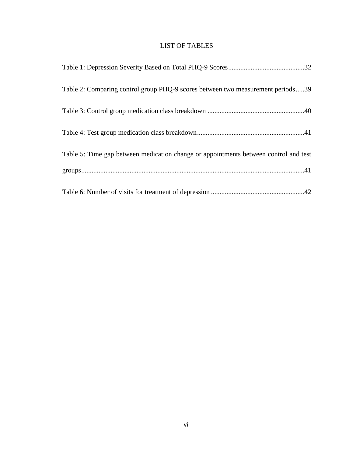# LIST OF TABLES

| Table 2: Comparing control group PHQ-9 scores between two measurement periods39      |
|--------------------------------------------------------------------------------------|
|                                                                                      |
|                                                                                      |
| Table 5: Time gap between medication change or appointments between control and test |
|                                                                                      |
|                                                                                      |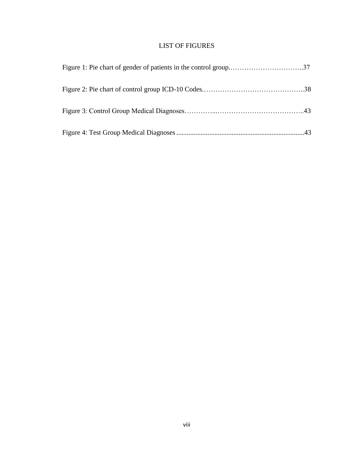# LIST OF FIGURES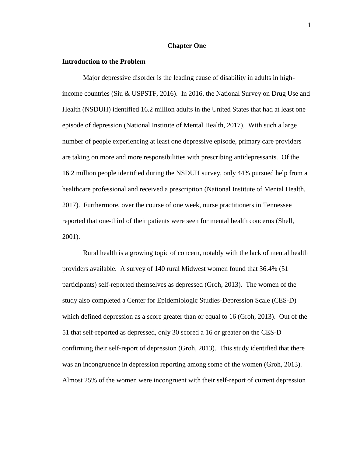#### **Chapter One**

# **Introduction to the Problem**

Major depressive disorder is the leading cause of disability in adults in highincome countries (Siu & USPSTF, 2016). In 2016, the National Survey on Drug Use and Health (NSDUH) identified 16.2 million adults in the United States that had at least one episode of depression (National Institute of Mental Health, 2017). With such a large number of people experiencing at least one depressive episode, primary care providers are taking on more and more responsibilities with prescribing antidepressants. Of the 16.2 million people identified during the NSDUH survey, only 44% pursued help from a healthcare professional and received a prescription (National Institute of Mental Health, 2017). Furthermore, over the course of one week, nurse practitioners in Tennessee reported that one-third of their patients were seen for mental health concerns (Shell, 2001).

Rural health is a growing topic of concern, notably with the lack of mental health providers available. A survey of 140 rural Midwest women found that 36.4% (51 participants) self-reported themselves as depressed (Groh, 2013). The women of the study also completed a Center for Epidemiologic Studies-Depression Scale (CES-D) which defined depression as a score greater than or equal to 16 (Groh, 2013). Out of the 51 that self-reported as depressed, only 30 scored a 16 or greater on the CES-D confirming their self-report of depression (Groh, 2013). This study identified that there was an incongruence in depression reporting among some of the women (Groh, 2013). Almost 25% of the women were incongruent with their self-report of current depression

1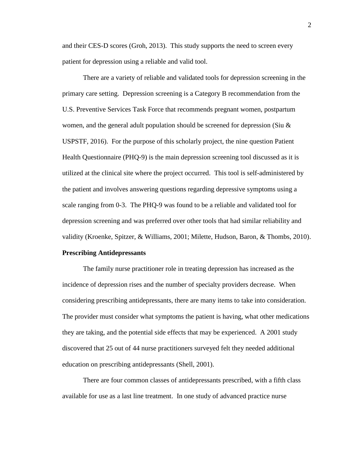and their CES-D scores (Groh, 2013). This study supports the need to screen every patient for depression using a reliable and valid tool.

There are a variety of reliable and validated tools for depression screening in the primary care setting. Depression screening is a Category B recommendation from the U.S. Preventive Services Task Force that recommends pregnant women, postpartum women, and the general adult population should be screened for depression (Siu & USPSTF, 2016). For the purpose of this scholarly project, the nine question Patient Health Questionnaire (PHQ-9) is the main depression screening tool discussed as it is utilized at the clinical site where the project occurred. This tool is self-administered by the patient and involves answering questions regarding depressive symptoms using a scale ranging from 0-3. The PHQ-9 was found to be a reliable and validated tool for depression screening and was preferred over other tools that had similar reliability and validity (Kroenke, Spitzer, & Williams, 2001; Milette, Hudson, Baron, & Thombs, 2010).

# **Prescribing Antidepressants**

The family nurse practitioner role in treating depression has increased as the incidence of depression rises and the number of specialty providers decrease. When considering prescribing antidepressants, there are many items to take into consideration. The provider must consider what symptoms the patient is having, what other medications they are taking, and the potential side effects that may be experienced. A 2001 study discovered that 25 out of 44 nurse practitioners surveyed felt they needed additional education on prescribing antidepressants (Shell, 2001).

There are four common classes of antidepressants prescribed, with a fifth class available for use as a last line treatment. In one study of advanced practice nurse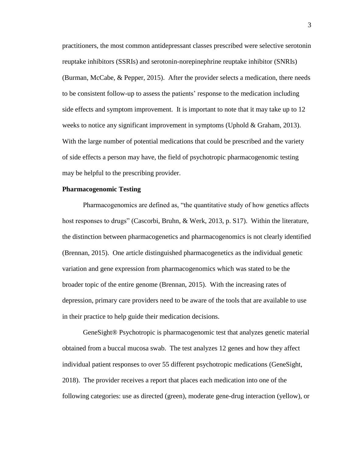practitioners, the most common antidepressant classes prescribed were selective serotonin reuptake inhibitors (SSRIs) and serotonin-norepinephrine reuptake inhibitor (SNRIs) (Burman, McCabe, & Pepper, 2015). After the provider selects a medication, there needs to be consistent follow-up to assess the patients' response to the medication including side effects and symptom improvement. It is important to note that it may take up to 12 weeks to notice any significant improvement in symptoms (Uphold & Graham, 2013). With the large number of potential medications that could be prescribed and the variety of side effects a person may have, the field of psychotropic pharmacogenomic testing may be helpful to the prescribing provider.

# **Pharmacogenomic Testing**

Pharmacogenomics are defined as, "the quantitative study of how genetics affects host responses to drugs" (Cascorbi, Bruhn, & Werk, 2013, p. S17). Within the literature, the distinction between pharmacogenetics and pharmacogenomics is not clearly identified (Brennan, 2015). One article distinguished pharmacogenetics as the individual genetic variation and gene expression from pharmacogenomics which was stated to be the broader topic of the entire genome (Brennan, 2015). With the increasing rates of depression, primary care providers need to be aware of the tools that are available to use in their practice to help guide their medication decisions.

GeneSight® Psychotropic is pharmacogenomic test that analyzes genetic material obtained from a buccal mucosa swab. The test analyzes 12 genes and how they affect individual patient responses to over 55 different psychotropic medications (GeneSight, 2018). The provider receives a report that places each medication into one of the following categories: use as directed (green), moderate gene-drug interaction (yellow), or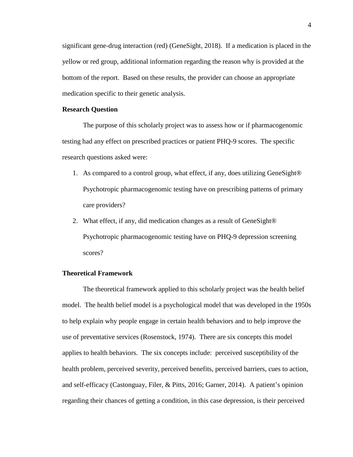significant gene-drug interaction (red) (GeneSight, 2018). If a medication is placed in the yellow or red group, additional information regarding the reason why is provided at the bottom of the report. Based on these results, the provider can choose an appropriate medication specific to their genetic analysis.

### **Research Question**

The purpose of this scholarly project was to assess how or if pharmacogenomic testing had any effect on prescribed practices or patient PHQ-9 scores. The specific research questions asked were:

- 1. As compared to a control group, what effect, if any, does utilizing GeneSight® Psychotropic pharmacogenomic testing have on prescribing patterns of primary care providers?
- 2. What effect, if any, did medication changes as a result of GeneSight® Psychotropic pharmacogenomic testing have on PHQ-9 depression screening scores?

# **Theoretical Framework**

The theoretical framework applied to this scholarly project was the health belief model. The health belief model is a psychological model that was developed in the 1950s to help explain why people engage in certain health behaviors and to help improve the use of preventative services (Rosenstock, 1974). There are six concepts this model applies to health behaviors. The six concepts include: perceived susceptibility of the health problem, perceived severity, perceived benefits, perceived barriers, cues to action, and self-efficacy (Castonguay, Filer, & Pitts, 2016; Garner, 2014). A patient's opinion regarding their chances of getting a condition, in this case depression, is their perceived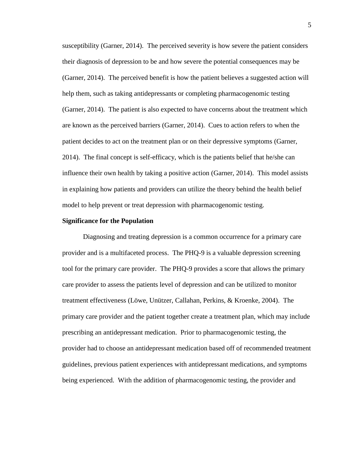susceptibility (Garner, 2014). The perceived severity is how severe the patient considers their diagnosis of depression to be and how severe the potential consequences may be (Garner, 2014). The perceived benefit is how the patient believes a suggested action will help them, such as taking antidepressants or completing pharmacogenomic testing (Garner, 2014). The patient is also expected to have concerns about the treatment which are known as the perceived barriers (Garner, 2014). Cues to action refers to when the patient decides to act on the treatment plan or on their depressive symptoms (Garner, 2014). The final concept is self-efficacy, which is the patients belief that he/she can influence their own health by taking a positive action (Garner, 2014). This model assists in explaining how patients and providers can utilize the theory behind the health belief model to help prevent or treat depression with pharmacogenomic testing.

#### **Significance for the Population**

Diagnosing and treating depression is a common occurrence for a primary care provider and is a multifaceted process. The PHQ-9 is a valuable depression screening tool for the primary care provider. The PHQ-9 provides a score that allows the primary care provider to assess the patients level of depression and can be utilized to monitor treatment effectiveness (Löwe, Unützer, Callahan, Perkins, & Kroenke, 2004). The primary care provider and the patient together create a treatment plan, which may include prescribing an antidepressant medication. Prior to pharmacogenomic testing, the provider had to choose an antidepressant medication based off of recommended treatment guidelines, previous patient experiences with antidepressant medications, and symptoms being experienced. With the addition of pharmacogenomic testing, the provider and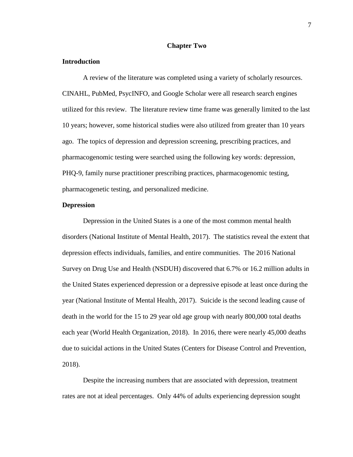# **Chapter Two**

# **Introduction**

A review of the literature was completed using a variety of scholarly resources. CINAHL, PubMed, PsycINFO, and Google Scholar were all research search engines utilized for this review. The literature review time frame was generally limited to the last 10 years; however, some historical studies were also utilized from greater than 10 years ago. The topics of depression and depression screening, prescribing practices, and pharmacogenomic testing were searched using the following key words: depression, PHQ-9, family nurse practitioner prescribing practices, pharmacogenomic testing, pharmacogenetic testing, and personalized medicine.

#### **Depression**

Depression in the United States is a one of the most common mental health disorders (National Institute of Mental Health, 2017). The statistics reveal the extent that depression effects individuals, families, and entire communities. The 2016 National Survey on Drug Use and Health (NSDUH) discovered that 6.7% or 16.2 million adults in the United States experienced depression or a depressive episode at least once during the year (National Institute of Mental Health, 2017). Suicide is the second leading cause of death in the world for the 15 to 29 year old age group with nearly 800,000 total deaths each year (World Health Organization, 2018). In 2016, there were nearly 45,000 deaths due to suicidal actions in the United States (Centers for Disease Control and Prevention, 2018).

Despite the increasing numbers that are associated with depression, treatment rates are not at ideal percentages. Only 44% of adults experiencing depression sought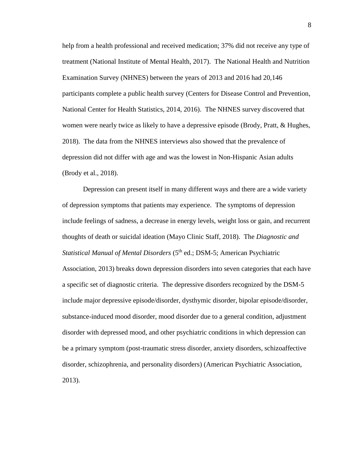help from a health professional and received medication; 37% did not receive any type of treatment (National Institute of Mental Health, 2017). The National Health and Nutrition Examination Survey (NHNES) between the years of 2013 and 2016 had 20,146 participants complete a public health survey (Centers for Disease Control and Prevention, National Center for Health Statistics, 2014, 2016). The NHNES survey discovered that women were nearly twice as likely to have a depressive episode (Brody, Pratt, & Hughes, 2018). The data from the NHNES interviews also showed that the prevalence of depression did not differ with age and was the lowest in Non-Hispanic Asian adults (Brody et al., 2018).

Depression can present itself in many different ways and there are a wide variety of depression symptoms that patients may experience. The symptoms of depression include feelings of sadness, a decrease in energy levels, weight loss or gain, and recurrent thoughts of death or suicidal ideation (Mayo Clinic Staff, 2018). The *Diagnostic and Statistical Manual of Mental Disorders* (5<sup>th</sup> ed.; DSM-5; American Psychiatric Association, 2013) breaks down depression disorders into seven categories that each have a specific set of diagnostic criteria. The depressive disorders recognized by the DSM-5 include major depressive episode/disorder, dysthymic disorder, bipolar episode/disorder, substance-induced mood disorder, mood disorder due to a general condition, adjustment disorder with depressed mood, and other psychiatric conditions in which depression can be a primary symptom (post-traumatic stress disorder, anxiety disorders, schizoaffective disorder, schizophrenia, and personality disorders) (American Psychiatric Association, 2013).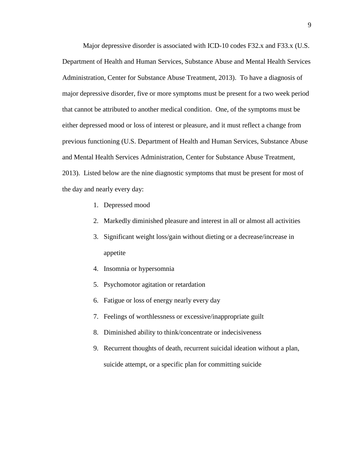Major depressive disorder is associated with ICD-10 codes F32.x and F33.x (U.S. Department of Health and Human Services, Substance Abuse and Mental Health Services Administration, Center for Substance Abuse Treatment, 2013). To have a diagnosis of major depressive disorder, five or more symptoms must be present for a two week period that cannot be attributed to another medical condition. One, of the symptoms must be either depressed mood or loss of interest or pleasure, and it must reflect a change from previous functioning (U.S. Department of Health and Human Services, Substance Abuse and Mental Health Services Administration, Center for Substance Abuse Treatment, 2013). Listed below are the nine diagnostic symptoms that must be present for most of the day and nearly every day:

- 1. Depressed mood
- 2. Markedly diminished pleasure and interest in all or almost all activities
- 3. Significant weight loss/gain without dieting or a decrease/increase in appetite
- 4. Insomnia or hypersomnia
- 5. Psychomotor agitation or retardation
- 6. Fatigue or loss of energy nearly every day
- 7. Feelings of worthlessness or excessive/inappropriate guilt
- 8. Diminished ability to think/concentrate or indecisiveness
- 9. Recurrent thoughts of death, recurrent suicidal ideation without a plan, suicide attempt, or a specific plan for committing suicide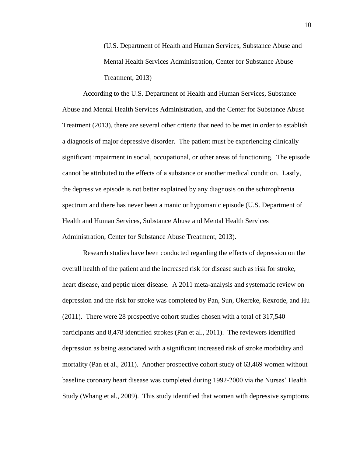(U.S. Department of Health and Human Services, Substance Abuse and Mental Health Services Administration, Center for Substance Abuse Treatment, 2013)

According to the U.S. Department of Health and Human Services, Substance Abuse and Mental Health Services Administration, and the Center for Substance Abuse Treatment (2013), there are several other criteria that need to be met in order to establish a diagnosis of major depressive disorder. The patient must be experiencing clinically significant impairment in social, occupational, or other areas of functioning. The episode cannot be attributed to the effects of a substance or another medical condition. Lastly, the depressive episode is not better explained by any diagnosis on the schizophrenia spectrum and there has never been a manic or hypomanic episode (U.S. Department of Health and Human Services, Substance Abuse and Mental Health Services Administration, Center for Substance Abuse Treatment, 2013).

Research studies have been conducted regarding the effects of depression on the overall health of the patient and the increased risk for disease such as risk for stroke, heart disease, and peptic ulcer disease. A 2011 meta-analysis and systematic review on depression and the risk for stroke was completed by Pan, Sun, Okereke, Rexrode, and Hu (2011). There were 28 prospective cohort studies chosen with a total of 317,540 participants and 8,478 identified strokes (Pan et al., 2011). The reviewers identified depression as being associated with a significant increased risk of stroke morbidity and mortality (Pan et al., 2011). Another prospective cohort study of 63,469 women without baseline coronary heart disease was completed during 1992-2000 via the Nurses' Health Study (Whang et al., 2009). This study identified that women with depressive symptoms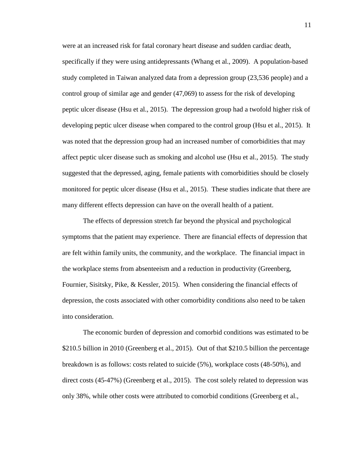were at an increased risk for fatal coronary heart disease and sudden cardiac death, specifically if they were using antidepressants (Whang et al., 2009). A population-based study completed in Taiwan analyzed data from a depression group (23,536 people) and a control group of similar age and gender (47,069) to assess for the risk of developing peptic ulcer disease (Hsu et al., 2015). The depression group had a twofold higher risk of developing peptic ulcer disease when compared to the control group (Hsu et al., 2015). It was noted that the depression group had an increased number of comorbidities that may affect peptic ulcer disease such as smoking and alcohol use (Hsu et al., 2015). The study suggested that the depressed, aging, female patients with comorbidities should be closely monitored for peptic ulcer disease (Hsu et al., 2015). These studies indicate that there are many different effects depression can have on the overall health of a patient.

The effects of depression stretch far beyond the physical and psychological symptoms that the patient may experience. There are financial effects of depression that are felt within family units, the community, and the workplace. The financial impact in the workplace stems from absenteeism and a reduction in productivity (Greenberg, Fournier, Sisitsky, Pike, & Kessler, 2015). When considering the financial effects of depression, the costs associated with other comorbidity conditions also need to be taken into consideration.

The economic burden of depression and comorbid conditions was estimated to be \$210.5 billion in 2010 (Greenberg et al., 2015). Out of that \$210.5 billion the percentage breakdown is as follows: costs related to suicide (5%), workplace costs (48-50%), and direct costs (45-47%) (Greenberg et al., 2015). The cost solely related to depression was only 38%, while other costs were attributed to comorbid conditions (Greenberg et al.,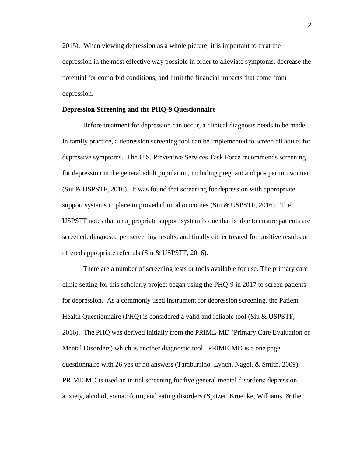2015). When viewing depression as a whole picture, it is important to treat the depression in the most effective way possible in order to alleviate symptoms, decrease the potential for comorbid conditions, and limit the financial impacts that come from depression.

# **Depression Screening and the PHQ-9 Questionnaire**

Before treatment for depression can occur, a clinical diagnosis needs to be made. In family practice, a depression screening tool can be implemented to screen all adults for depressive symptoms. The U.S. Preventive Services Task Force recommends screening for depression in the general adult population, including pregnant and postpartum women (Siu & USPSTF, 2016). It was found that screening for depression with appropriate support systems in place improved clinical outcomes (Siu & USPSTF, 2016). The USPSTF notes that an appropriate support system is one that is able to ensure patients are screened, diagnosed per screening results, and finally either treated for positive results or offered appropriate referrals (Siu & USPSTF, 2016).

There are a number of screening tests or tools available for use. The primary care clinic setting for this scholarly project began using the PHQ-9 in 2017 to screen patients for depression. As a commonly used instrument for depression screening, the Patient Health Questionnaire (PHQ) is considered a valid and reliable tool (Siu & USPSTF, 2016). The PHQ was derived initially from the PRIME-MD (Primary Care Evaluation of Mental Disorders) which is another diagnostic tool. PRIME-MD is a one page questionnaire with 26 yes or no answers (Tamburrino, Lynch, Nagel, & Smith, 2009). PRIME-MD is used an initial screening for five general mental disorders: depression, anxiety, alcohol, somatoform, and eating disorders (Spitzer, Kroenke, Williams, & the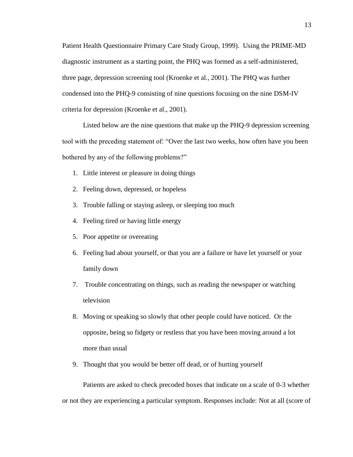Patient Health Questionnaire Primary Care Study Group, 1999). Using the PRIME-MD diagnostic instrument as a starting point, the PHQ was formed as a self-administered, three page, depression screening tool (Kroenke et al., 2001). The PHQ was further condensed into the PHQ-9 consisting of nine questions focusing on the nine DSM-IV criteria for depression (Kroenke et al., 2001).

Listed below are the nine questions that make up the PHQ-9 depression screening tool with the preceding statement of: "Over the last two weeks, how often have you been bothered by any of the following problems?"

- 1. Little interest or pleasure in doing things
- 2. Feeling down, depressed, or hopeless
- 3. Trouble falling or staying asleep, or sleeping too much
- 4. Feeling tired or having little energy
- 5. Poor appetite or overeating
- 6. Feeling bad about yourself, or that you are a failure or have let yourself or your family down
- 7. Trouble concentrating on things, such as reading the newspaper or watching television
- 8. Moving or speaking so slowly that other people could have noticed. Or the opposite, being so fidgety or restless that you have been moving around a lot more than usual
- 9. Thought that you would be better off dead, or of hurting yourself

Patients are asked to check precoded boxes that indicate on a scale of 0-3 whether or not they are experiencing a particular symptom. Responses include: Not at all (score of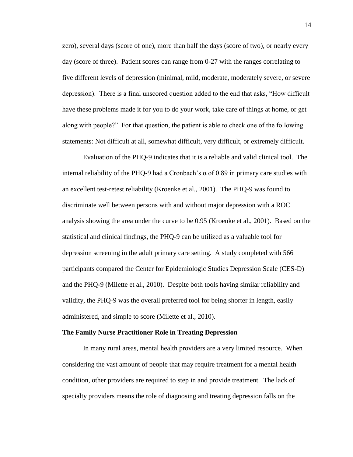zero), several days (score of one), more than half the days (score of two), or nearly every day (score of three). Patient scores can range from 0-27 with the ranges correlating to five different levels of depression (minimal, mild, moderate, moderately severe, or severe depression). There is a final unscored question added to the end that asks, "How difficult have these problems made it for you to do your work, take care of things at home, or get along with people?" For that question, the patient is able to check one of the following statements: Not difficult at all, somewhat difficult, very difficult, or extremely difficult.

Evaluation of the PHQ-9 indicates that it is a reliable and valid clinical tool. The internal reliability of the PHQ-9 had a Cronbach's  $\alpha$  of 0.89 in primary care studies with an excellent test-retest reliability (Kroenke et al., 2001). The PHQ-9 was found to discriminate well between persons with and without major depression with a ROC analysis showing the area under the curve to be 0.95 (Kroenke et al., 2001). Based on the statistical and clinical findings, the PHQ-9 can be utilized as a valuable tool for depression screening in the adult primary care setting. A study completed with 566 participants compared the Center for Epidemiologic Studies Depression Scale (CES-D) and the PHQ-9 (Milette et al., 2010). Despite both tools having similar reliability and validity, the PHQ-9 was the overall preferred tool for being shorter in length, easily administered, and simple to score (Milette et al., 2010).

#### **The Family Nurse Practitioner Role in Treating Depression**

In many rural areas, mental health providers are a very limited resource. When considering the vast amount of people that may require treatment for a mental health condition, other providers are required to step in and provide treatment. The lack of specialty providers means the role of diagnosing and treating depression falls on the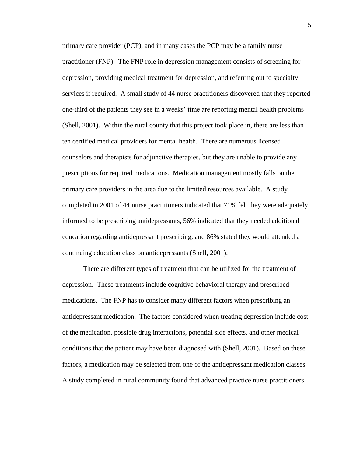primary care provider (PCP), and in many cases the PCP may be a family nurse practitioner (FNP). The FNP role in depression management consists of screening for depression, providing medical treatment for depression, and referring out to specialty services if required. A small study of 44 nurse practitioners discovered that they reported one-third of the patients they see in a weeks' time are reporting mental health problems (Shell, 2001). Within the rural county that this project took place in, there are less than ten certified medical providers for mental health. There are numerous licensed counselors and therapists for adjunctive therapies, but they are unable to provide any prescriptions for required medications. Medication management mostly falls on the primary care providers in the area due to the limited resources available. A study completed in 2001 of 44 nurse practitioners indicated that 71% felt they were adequately informed to be prescribing antidepressants, 56% indicated that they needed additional education regarding antidepressant prescribing, and 86% stated they would attended a continuing education class on antidepressants (Shell, 2001).

There are different types of treatment that can be utilized for the treatment of depression. These treatments include cognitive behavioral therapy and prescribed medications. The FNP has to consider many different factors when prescribing an antidepressant medication. The factors considered when treating depression include cost of the medication, possible drug interactions, potential side effects, and other medical conditions that the patient may have been diagnosed with (Shell, 2001). Based on these factors, a medication may be selected from one of the antidepressant medication classes. A study completed in rural community found that advanced practice nurse practitioners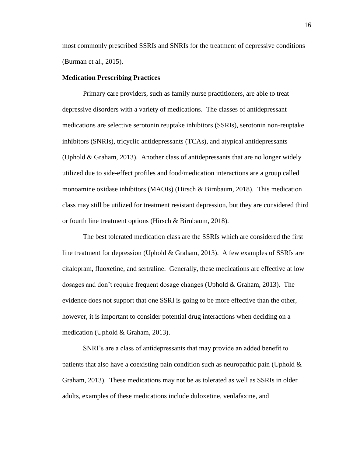most commonly prescribed SSRIs and SNRIs for the treatment of depressive conditions (Burman et al., 2015).

#### **Medication Prescribing Practices**

Primary care providers, such as family nurse practitioners, are able to treat depressive disorders with a variety of medications. The classes of antidepressant medications are selective serotonin reuptake inhibitors (SSRIs), serotonin non-reuptake inhibitors (SNRIs), tricyclic antidepressants (TCAs), and atypical antidepressants (Uphold & Graham, 2013). Another class of antidepressants that are no longer widely utilized due to side-effect profiles and food/medication interactions are a group called monoamine oxidase inhibitors (MAOIs) (Hirsch & Birnbaum, 2018). This medication class may still be utilized for treatment resistant depression, but they are considered third or fourth line treatment options (Hirsch & Birnbaum, 2018).

The best tolerated medication class are the SSRIs which are considered the first line treatment for depression (Uphold & Graham, 2013). A few examples of SSRIs are citalopram, fluoxetine, and sertraline. Generally, these medications are effective at low dosages and don't require frequent dosage changes (Uphold & Graham, 2013). The evidence does not support that one SSRI is going to be more effective than the other, however, it is important to consider potential drug interactions when deciding on a medication (Uphold & Graham, 2013).

SNRI's are a class of antidepressants that may provide an added benefit to patients that also have a coexisting pain condition such as neuropathic pain (Uphold  $\&$ Graham, 2013). These medications may not be as tolerated as well as SSRIs in older adults, examples of these medications include duloxetine, venlafaxine, and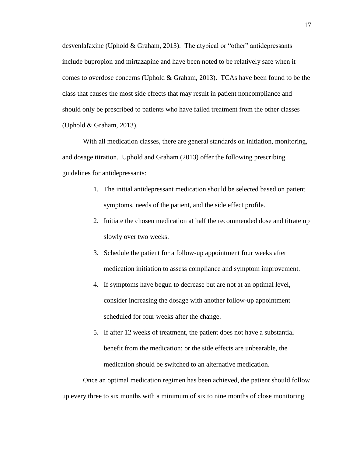desvenlafaxine (Uphold & Graham, 2013). The atypical or "other" antidepressants include bupropion and mirtazapine and have been noted to be relatively safe when it comes to overdose concerns (Uphold & Graham, 2013). TCAs have been found to be the class that causes the most side effects that may result in patient noncompliance and should only be prescribed to patients who have failed treatment from the other classes (Uphold & Graham, 2013).

With all medication classes, there are general standards on initiation, monitoring, and dosage titration. Uphold and Graham (2013) offer the following prescribing guidelines for antidepressants:

- 1. The initial antidepressant medication should be selected based on patient symptoms, needs of the patient, and the side effect profile.
- 2. Initiate the chosen medication at half the recommended dose and titrate up slowly over two weeks.
- 3. Schedule the patient for a follow-up appointment four weeks after medication initiation to assess compliance and symptom improvement.
- 4. If symptoms have begun to decrease but are not at an optimal level, consider increasing the dosage with another follow-up appointment scheduled for four weeks after the change.
- 5. If after 12 weeks of treatment, the patient does not have a substantial benefit from the medication; or the side effects are unbearable, the medication should be switched to an alternative medication.

Once an optimal medication regimen has been achieved, the patient should follow up every three to six months with a minimum of six to nine months of close monitoring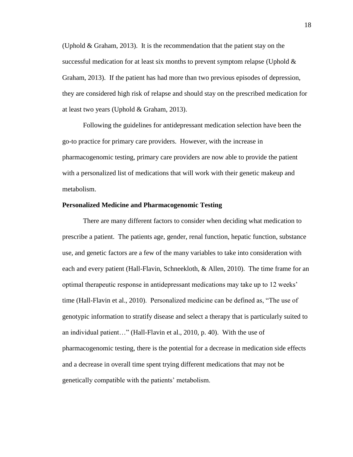(Uphold  $\&$  Graham, 2013). It is the recommendation that the patient stay on the successful medication for at least six months to prevent symptom relapse (Uphold  $\&$ Graham, 2013). If the patient has had more than two previous episodes of depression, they are considered high risk of relapse and should stay on the prescribed medication for at least two years (Uphold & Graham, 2013).

Following the guidelines for antidepressant medication selection have been the go-to practice for primary care providers. However, with the increase in pharmacogenomic testing, primary care providers are now able to provide the patient with a personalized list of medications that will work with their genetic makeup and metabolism.

#### **Personalized Medicine and Pharmacogenomic Testing**

There are many different factors to consider when deciding what medication to prescribe a patient. The patients age, gender, renal function, hepatic function, substance use, and genetic factors are a few of the many variables to take into consideration with each and every patient (Hall-Flavin, Schneekloth, & Allen, 2010). The time frame for an optimal therapeutic response in antidepressant medications may take up to 12 weeks' time (Hall-Flavin et al., 2010). Personalized medicine can be defined as, "The use of genotypic information to stratify disease and select a therapy that is particularly suited to an individual patient…" (Hall-Flavin et al., 2010, p. 40). With the use of pharmacogenomic testing, there is the potential for a decrease in medication side effects and a decrease in overall time spent trying different medications that may not be genetically compatible with the patients' metabolism.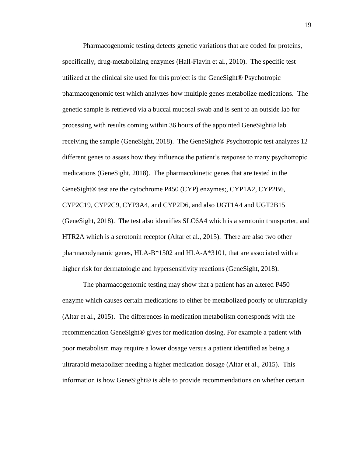Pharmacogenomic testing detects genetic variations that are coded for proteins, specifically, drug-metabolizing enzymes (Hall-Flavin et al., 2010). The specific test utilized at the clinical site used for this project is the GeneSight® Psychotropic pharmacogenomic test which analyzes how multiple genes metabolize medications. The genetic sample is retrieved via a buccal mucosal swab and is sent to an outside lab for processing with results coming within 36 hours of the appointed GeneSight® lab receiving the sample (GeneSight, 2018). The GeneSight® Psychotropic test analyzes 12 different genes to assess how they influence the patient's response to many psychotropic medications (GeneSight, 2018). The pharmacokinetic genes that are tested in the GeneSight® test are the cytochrome P450 (CYP) enzymes;, CYP1A2, CYP2B6, CYP2C19, CYP2C9, CYP3A4, and CYP2D6, and also UGT1A4 and UGT2B15 (GeneSight, 2018). The test also identifies SLC6A4 which is a serotonin transporter, and HTR2A which is a serotonin receptor (Altar et al., 2015). There are also two other pharmacodynamic genes, HLA-B\*1502 and HLA-A\*3101, that are associated with a higher risk for dermatologic and hypersensitivity reactions (GeneSight, 2018).

The pharmacogenomic testing may show that a patient has an altered P450 enzyme which causes certain medications to either be metabolized poorly or ultrarapidly (Altar et al., 2015). The differences in medication metabolism corresponds with the recommendation GeneSight® gives for medication dosing. For example a patient with poor metabolism may require a lower dosage versus a patient identified as being a ultrarapid metabolizer needing a higher medication dosage (Altar et al., 2015). This information is how GeneSight® is able to provide recommendations on whether certain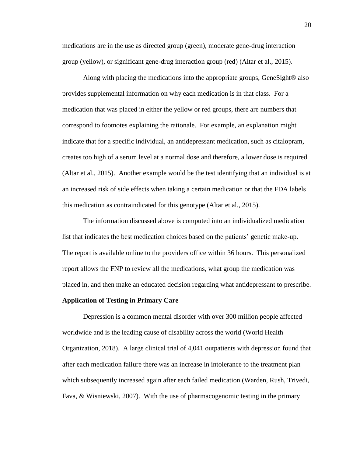medications are in the use as directed group (green), moderate gene-drug interaction group (yellow), or significant gene-drug interaction group (red) (Altar et al., 2015).

Along with placing the medications into the appropriate groups, GeneSight® also provides supplemental information on why each medication is in that class. For a medication that was placed in either the yellow or red groups, there are numbers that correspond to footnotes explaining the rationale. For example, an explanation might indicate that for a specific individual, an antidepressant medication, such as citalopram, creates too high of a serum level at a normal dose and therefore, a lower dose is required (Altar et al., 2015). Another example would be the test identifying that an individual is at an increased risk of side effects when taking a certain medication or that the FDA labels this medication as contraindicated for this genotype (Altar et al., 2015).

The information discussed above is computed into an individualized medication list that indicates the best medication choices based on the patients' genetic make-up. The report is available online to the providers office within 36 hours. This personalized report allows the FNP to review all the medications, what group the medication was placed in, and then make an educated decision regarding what antidepressant to prescribe.

## **Application of Testing in Primary Care**

Depression is a common mental disorder with over 300 million people affected worldwide and is the leading cause of disability across the world (World Health Organization, 2018). A large clinical trial of 4,041 outpatients with depression found that after each medication failure there was an increase in intolerance to the treatment plan which subsequently increased again after each failed medication (Warden, Rush, Trivedi, Fava, & Wisniewski, 2007). With the use of pharmacogenomic testing in the primary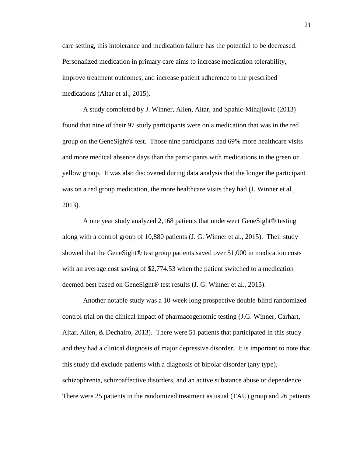care setting, this intolerance and medication failure has the potential to be decreased. Personalized medication in primary care aims to increase medication tolerability, improve treatment outcomes, and increase patient adherence to the prescribed medications (Altar et al., 2015).

A study completed by J. Winner, Allen, Altar, and Spahic-Mihajlovic (2013) found that nine of their 97 study participants were on a medication that was in the red group on the GeneSight® test. Those nine participants had 69% more healthcare visits and more medical absence days than the participants with medications in the green or yellow group. It was also discovered during data analysis that the longer the participant was on a red group medication, the more healthcare visits they had (J. Winner et al., 2013).

A one year study analyzed 2,168 patients that underwent GeneSight® testing along with a control group of 10,880 patients (J. G. Winner et al., 2015). Their study showed that the GeneSight® test group patients saved over \$1,000 in medication costs with an average cost saving of \$2,774.53 when the patient switched to a medication deemed best based on GeneSight® test results (J. G. Winner et al., 2015).

Another notable study was a 10-week long prospective double-blind randomized control trial on the clinical impact of pharmacogenomic testing (J.G. Winner, Carhart, Altar, Allen, & Dechairo, 2013). There were 51 patients that participated in this study and they had a clinical diagnosis of major depressive disorder. It is important to note that this study did exclude patients with a diagnosis of bipolar disorder (any type), schizophrenia, schizoaffective disorders, and an active substance abuse or dependence. There were 25 patients in the randomized treatment as usual (TAU) group and 26 patients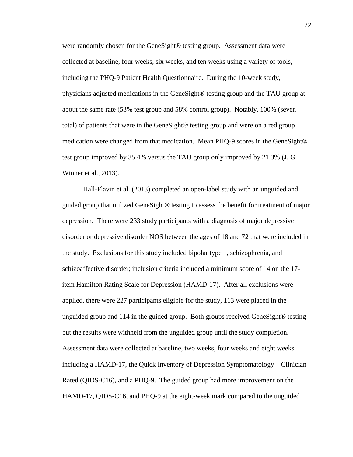were randomly chosen for the GeneSight® testing group. Assessment data were collected at baseline, four weeks, six weeks, and ten weeks using a variety of tools, including the PHQ-9 Patient Health Questionnaire. During the 10-week study, physicians adjusted medications in the GeneSight® testing group and the TAU group at about the same rate (53% test group and 58% control group). Notably, 100% (seven total) of patients that were in the GeneSight® testing group and were on a red group medication were changed from that medication. Mean PHQ-9 scores in the GeneSight® test group improved by 35.4% versus the TAU group only improved by 21.3% (J. G. Winner et al., 2013).

Hall-Flavin et al. (2013) completed an open-label study with an unguided and guided group that utilized GeneSight® testing to assess the benefit for treatment of major depression. There were 233 study participants with a diagnosis of major depressive disorder or depressive disorder NOS between the ages of 18 and 72 that were included in the study. Exclusions for this study included bipolar type 1, schizophrenia, and schizoaffective disorder; inclusion criteria included a minimum score of 14 on the 17 item Hamilton Rating Scale for Depression (HAMD-17). After all exclusions were applied, there were 227 participants eligible for the study, 113 were placed in the unguided group and 114 in the guided group. Both groups received GeneSight® testing but the results were withheld from the unguided group until the study completion. Assessment data were collected at baseline, two weeks, four weeks and eight weeks including a HAMD-17, the Quick Inventory of Depression Symptomatology – Clinician Rated (QIDS-C16), and a PHQ-9. The guided group had more improvement on the HAMD-17, QIDS-C16, and PHQ-9 at the eight-week mark compared to the unguided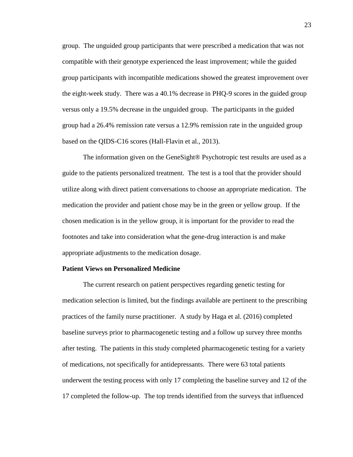group. The unguided group participants that were prescribed a medication that was not compatible with their genotype experienced the least improvement; while the guided group participants with incompatible medications showed the greatest improvement over the eight-week study. There was a 40.1% decrease in PHQ-9 scores in the guided group versus only a 19.5% decrease in the unguided group. The participants in the guided group had a 26.4% remission rate versus a 12.9% remission rate in the unguided group based on the QIDS-C16 scores (Hall-Flavin et al., 2013).

The information given on the GeneSight® Psychotropic test results are used as a guide to the patients personalized treatment. The test is a tool that the provider should utilize along with direct patient conversations to choose an appropriate medication. The medication the provider and patient chose may be in the green or yellow group. If the chosen medication is in the yellow group, it is important for the provider to read the footnotes and take into consideration what the gene-drug interaction is and make appropriate adjustments to the medication dosage.

# **Patient Views on Personalized Medicine**

The current research on patient perspectives regarding genetic testing for medication selection is limited, but the findings available are pertinent to the prescribing practices of the family nurse practitioner. A study by Haga et al. (2016) completed baseline surveys prior to pharmacogenetic testing and a follow up survey three months after testing. The patients in this study completed pharmacogenetic testing for a variety of medications, not specifically for antidepressants. There were 63 total patients underwent the testing process with only 17 completing the baseline survey and 12 of the 17 completed the follow-up. The top trends identified from the surveys that influenced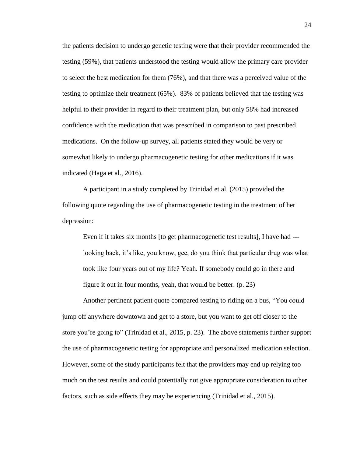the patients decision to undergo genetic testing were that their provider recommended the testing (59%), that patients understood the testing would allow the primary care provider to select the best medication for them (76%), and that there was a perceived value of the testing to optimize their treatment (65%). 83% of patients believed that the testing was helpful to their provider in regard to their treatment plan, but only 58% had increased confidence with the medication that was prescribed in comparison to past prescribed medications. On the follow-up survey, all patients stated they would be very or somewhat likely to undergo pharmacogenetic testing for other medications if it was indicated (Haga et al., 2016).

A participant in a study completed by Trinidad et al. (2015) provided the following quote regarding the use of pharmacogenetic testing in the treatment of her depression:

Even if it takes six months [to get pharmacogenetic test results], I have had -- looking back, it's like, you know, gee, do you think that particular drug was what took like four years out of my life? Yeah. If somebody could go in there and figure it out in four months, yeah, that would be better. (p. 23)

Another pertinent patient quote compared testing to riding on a bus, "You could jump off anywhere downtown and get to a store, but you want to get off closer to the store you're going to" (Trinidad et al., 2015, p. 23). The above statements further support the use of pharmacogenetic testing for appropriate and personalized medication selection. However, some of the study participants felt that the providers may end up relying too much on the test results and could potentially not give appropriate consideration to other factors, such as side effects they may be experiencing (Trinidad et al., 2015).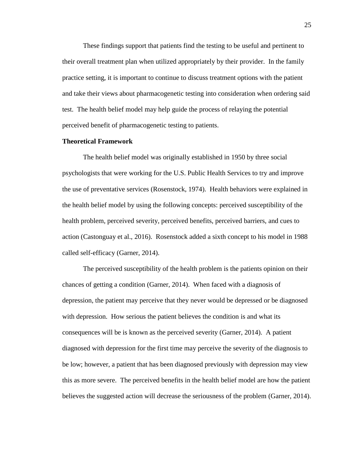These findings support that patients find the testing to be useful and pertinent to their overall treatment plan when utilized appropriately by their provider. In the family practice setting, it is important to continue to discuss treatment options with the patient and take their views about pharmacogenetic testing into consideration when ordering said test. The health belief model may help guide the process of relaying the potential perceived benefit of pharmacogenetic testing to patients.

# **Theoretical Framework**

The health belief model was originally established in 1950 by three social psychologists that were working for the U.S. Public Health Services to try and improve the use of preventative services (Rosenstock, 1974). Health behaviors were explained in the health belief model by using the following concepts: perceived susceptibility of the health problem, perceived severity, perceived benefits, perceived barriers, and cues to action (Castonguay et al., 2016). Rosenstock added a sixth concept to his model in 1988 called self-efficacy (Garner, 2014).

The perceived susceptibility of the health problem is the patients opinion on their chances of getting a condition (Garner, 2014). When faced with a diagnosis of depression, the patient may perceive that they never would be depressed or be diagnosed with depression. How serious the patient believes the condition is and what its consequences will be is known as the perceived severity (Garner, 2014). A patient diagnosed with depression for the first time may perceive the severity of the diagnosis to be low; however, a patient that has been diagnosed previously with depression may view this as more severe. The perceived benefits in the health belief model are how the patient believes the suggested action will decrease the seriousness of the problem (Garner, 2014).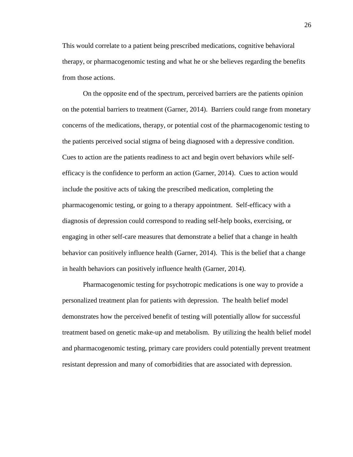This would correlate to a patient being prescribed medications, cognitive behavioral therapy, or pharmacogenomic testing and what he or she believes regarding the benefits from those actions.

On the opposite end of the spectrum, perceived barriers are the patients opinion on the potential barriers to treatment (Garner, 2014). Barriers could range from monetary concerns of the medications, therapy, or potential cost of the pharmacogenomic testing to the patients perceived social stigma of being diagnosed with a depressive condition. Cues to action are the patients readiness to act and begin overt behaviors while selfefficacy is the confidence to perform an action (Garner, 2014). Cues to action would include the positive acts of taking the prescribed medication, completing the pharmacogenomic testing, or going to a therapy appointment. Self-efficacy with a diagnosis of depression could correspond to reading self-help books, exercising, or engaging in other self-care measures that demonstrate a belief that a change in health behavior can positively influence health (Garner, 2014). This is the belief that a change in health behaviors can positively influence health (Garner, 2014).

Pharmacogenomic testing for psychotropic medications is one way to provide a personalized treatment plan for patients with depression. The health belief model demonstrates how the perceived benefit of testing will potentially allow for successful treatment based on genetic make-up and metabolism. By utilizing the health belief model and pharmacogenomic testing, primary care providers could potentially prevent treatment resistant depression and many of comorbidities that are associated with depression.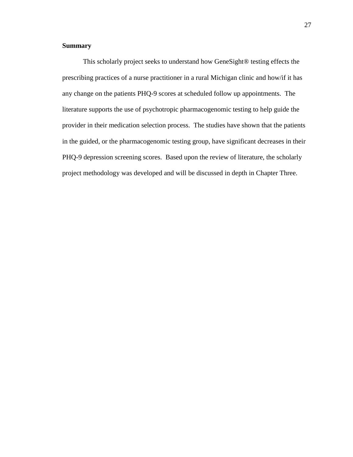# **Summary**

This scholarly project seeks to understand how GeneSight® testing effects the prescribing practices of a nurse practitioner in a rural Michigan clinic and how/if it has any change on the patients PHQ-9 scores at scheduled follow up appointments. The literature supports the use of psychotropic pharmacogenomic testing to help guide the provider in their medication selection process. The studies have shown that the patients in the guided, or the pharmacogenomic testing group, have significant decreases in their PHQ-9 depression screening scores. Based upon the review of literature, the scholarly project methodology was developed and will be discussed in depth in Chapter Three.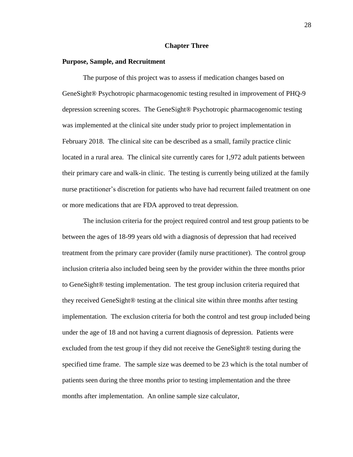# **Chapter Three**

# **Purpose, Sample, and Recruitment**

The purpose of this project was to assess if medication changes based on GeneSight® Psychotropic pharmacogenomic testing resulted in improvement of PHQ-9 depression screening scores. The GeneSight® Psychotropic pharmacogenomic testing was implemented at the clinical site under study prior to project implementation in February 2018. The clinical site can be described as a small, family practice clinic located in a rural area. The clinical site currently cares for 1,972 adult patients between their primary care and walk-in clinic. The testing is currently being utilized at the family nurse practitioner's discretion for patients who have had recurrent failed treatment on one or more medications that are FDA approved to treat depression.

The inclusion criteria for the project required control and test group patients to be between the ages of 18-99 years old with a diagnosis of depression that had received treatment from the primary care provider (family nurse practitioner). The control group inclusion criteria also included being seen by the provider within the three months prior to GeneSight® testing implementation. The test group inclusion criteria required that they received GeneSight® testing at the clinical site within three months after testing implementation. The exclusion criteria for both the control and test group included being under the age of 18 and not having a current diagnosis of depression. Patients were excluded from the test group if they did not receive the GeneSight® testing during the specified time frame. The sample size was deemed to be 23 which is the total number of patients seen during the three months prior to testing implementation and the three months after implementation. An online sample size calculator,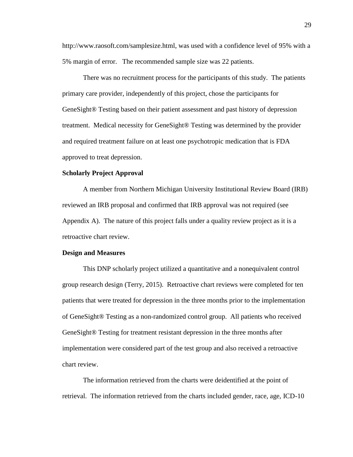http://www.raosoft.com/samplesize.html, was used with a confidence level of 95% with a 5% margin of error. The recommended sample size was 22 patients.

There was no recruitment process for the participants of this study. The patients primary care provider, independently of this project, chose the participants for GeneSight® Testing based on their patient assessment and past history of depression treatment. Medical necessity for GeneSight® Testing was determined by the provider and required treatment failure on at least one psychotropic medication that is FDA approved to treat depression.

#### **Scholarly Project Approval**

A member from Northern Michigan University Institutional Review Board (IRB) reviewed an IRB proposal and confirmed that IRB approval was not required (see Appendix A). The nature of this project falls under a quality review project as it is a retroactive chart review.

#### **Design and Measures**

This DNP scholarly project utilized a quantitative and a nonequivalent control group research design (Terry, 2015). Retroactive chart reviews were completed for ten patients that were treated for depression in the three months prior to the implementation of GeneSight® Testing as a non-randomized control group. All patients who received GeneSight® Testing for treatment resistant depression in the three months after implementation were considered part of the test group and also received a retroactive chart review.

The information retrieved from the charts were deidentified at the point of retrieval. The information retrieved from the charts included gender, race, age, ICD-10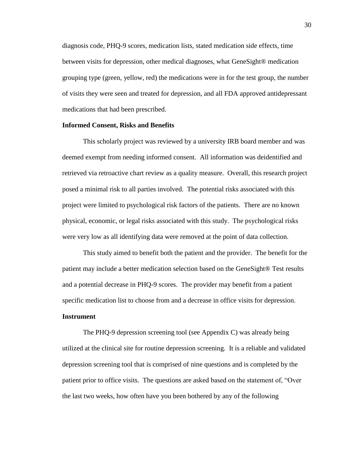diagnosis code, PHQ-9 scores, medication lists, stated medication side effects, time between visits for depression, other medical diagnoses, what GeneSight® medication grouping type (green, yellow, red) the medications were in for the test group, the number of visits they were seen and treated for depression, and all FDA approved antidepressant medications that had been prescribed.

# **Informed Consent, Risks and Benefits**

This scholarly project was reviewed by a university IRB board member and was deemed exempt from needing informed consent. All information was deidentified and retrieved via retroactive chart review as a quality measure. Overall, this research project posed a minimal risk to all parties involved. The potential risks associated with this project were limited to psychological risk factors of the patients. There are no known physical, economic, or legal risks associated with this study. The psychological risks were very low as all identifying data were removed at the point of data collection.

This study aimed to benefit both the patient and the provider. The benefit for the patient may include a better medication selection based on the GeneSight® Test results and a potential decrease in PHQ-9 scores. The provider may benefit from a patient specific medication list to choose from and a decrease in office visits for depression.

# **Instrument**

The PHQ-9 depression screening tool (see Appendix C) was already being utilized at the clinical site for routine depression screening. It is a reliable and validated depression screening tool that is comprised of nine questions and is completed by the patient prior to office visits. The questions are asked based on the statement of, "Over the last two weeks, how often have you been bothered by any of the following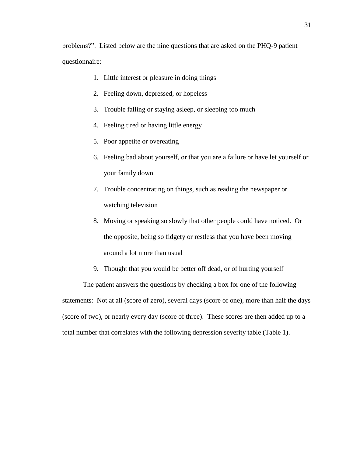problems?". Listed below are the nine questions that are asked on the PHQ-9 patient questionnaire:

- 1. Little interest or pleasure in doing things
- 2. Feeling down, depressed, or hopeless
- 3. Trouble falling or staying asleep, or sleeping too much
- 4. Feeling tired or having little energy
- 5. Poor appetite or overeating
- 6. Feeling bad about yourself, or that you are a failure or have let yourself or your family down
- 7. Trouble concentrating on things, such as reading the newspaper or watching television
- 8. Moving or speaking so slowly that other people could have noticed. Or the opposite, being so fidgety or restless that you have been moving around a lot more than usual
- 9. Thought that you would be better off dead, or of hurting yourself

The patient answers the questions by checking a box for one of the following statements: Not at all (score of zero), several days (score of one), more than half the days (score of two), or nearly every day (score of three). These scores are then added up to a total number that correlates with the following depression severity table (Table 1).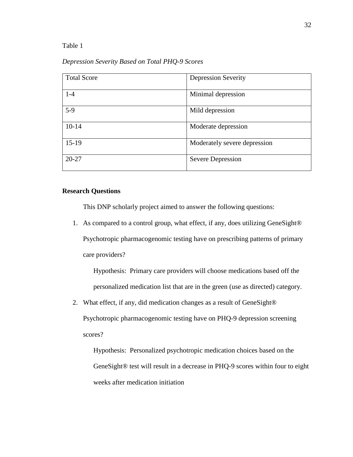Table 1

*Depression Severity Based on Total PHQ-9 Scores*

| <b>Total Score</b> | <b>Depression Severity</b>   |
|--------------------|------------------------------|
|                    |                              |
| $1-4$              | Minimal depression           |
|                    |                              |
| $5-9$              | Mild depression              |
|                    |                              |
| $10-14$            | Moderate depression          |
|                    |                              |
| $15-19$            | Moderately severe depression |
|                    |                              |
| $20 - 27$          | <b>Severe Depression</b>     |
|                    |                              |

# **Research Questions**

This DNP scholarly project aimed to answer the following questions:

1. As compared to a control group, what effect, if any, does utilizing GeneSight® Psychotropic pharmacogenomic testing have on prescribing patterns of primary care providers?

Hypothesis: Primary care providers will choose medications based off the personalized medication list that are in the green (use as directed) category.

2. What effect, if any, did medication changes as a result of GeneSight® Psychotropic pharmacogenomic testing have on PHQ-9 depression screening scores?

Hypothesis: Personalized psychotropic medication choices based on the GeneSight® test will result in a decrease in PHQ-9 scores within four to eight weeks after medication initiation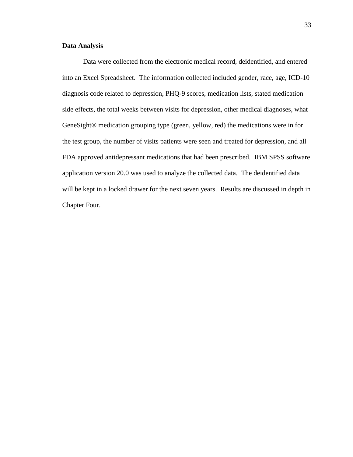# **Data Analysis**

Data were collected from the electronic medical record, deidentified, and entered into an Excel Spreadsheet. The information collected included gender, race, age, ICD-10 diagnosis code related to depression, PHQ-9 scores, medication lists, stated medication side effects, the total weeks between visits for depression, other medical diagnoses, what GeneSight® medication grouping type (green, yellow, red) the medications were in for the test group, the number of visits patients were seen and treated for depression, and all FDA approved antidepressant medications that had been prescribed. IBM SPSS software application version 20.0 was used to analyze the collected data. The deidentified data will be kept in a locked drawer for the next seven years. Results are discussed in depth in Chapter Four.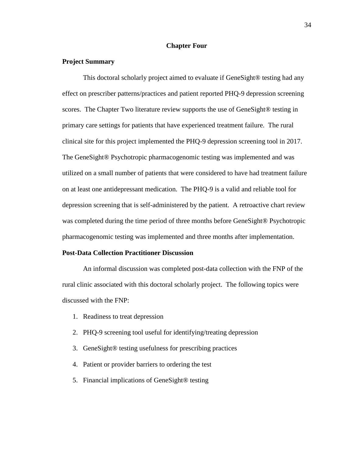# **Chapter Four**

# **Project Summary**

This doctoral scholarly project aimed to evaluate if GeneSight® testing had any effect on prescriber patterns/practices and patient reported PHQ-9 depression screening scores. The Chapter Two literature review supports the use of GeneSight® testing in primary care settings for patients that have experienced treatment failure. The rural clinical site for this project implemented the PHQ-9 depression screening tool in 2017. The GeneSight® Psychotropic pharmacogenomic testing was implemented and was utilized on a small number of patients that were considered to have had treatment failure on at least one antidepressant medication. The PHQ-9 is a valid and reliable tool for depression screening that is self-administered by the patient. A retroactive chart review was completed during the time period of three months before GeneSight<sup>®</sup> Psychotropic pharmacogenomic testing was implemented and three months after implementation.

#### **Post-Data Collection Practitioner Discussion**

An informal discussion was completed post-data collection with the FNP of the rural clinic associated with this doctoral scholarly project. The following topics were discussed with the FNP:

- 1. Readiness to treat depression
- 2. PHQ-9 screening tool useful for identifying/treating depression
- 3. GeneSight® testing usefulness for prescribing practices
- 4. Patient or provider barriers to ordering the test
- 5. Financial implications of GeneSight® testing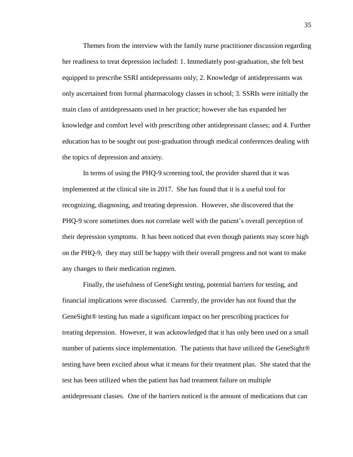Themes from the interview with the family nurse practitioner discussion regarding her readiness to treat depression included: 1. Immediately post-graduation, she felt best equipped to prescribe SSRI antidepressants only; 2. Knowledge of antidepressants was only ascertained from formal pharmacology classes in school; 3. SSRIs were initially the main class of antidepressants used in her practice; however she has expanded her knowledge and comfort level with prescribing other antidepressant classes; and 4. Further education has to be sought out post-graduation through medical conferences dealing with the topics of depression and anxiety.

In terms of using the PHQ-9 screening tool, the provider shared that it was implemented at the clinical site in 2017. She has found that it is a useful tool for recognizing, diagnosing, and treating depression. However, she discovered that the PHQ-9 score sometimes does not correlate well with the patient's overall perception of their depression symptoms. It has been noticed that even though patients may score high on the PHQ-9, they may still be happy with their overall progress and not want to make any changes to their medication regimen.

Finally, the usefulness of GeneSight testing, potential barriers for testing, and financial implications were discussed. Currently, the provider has not found that the GeneSight® testing has made a significant impact on her prescribing practices for treating depression. However, it was acknowledged that it has only been used on a small number of patients since implementation. The patients that have utilized the GeneSight<sup>®</sup> testing have been excited about what it means for their treatment plan. She stated that the test has been utilized when the patient has had treatment failure on multiple antidepressant classes. One of the barriers noticed is the amount of medications that can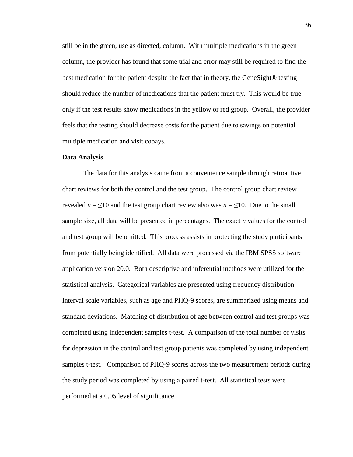still be in the green, use as directed, column. With multiple medications in the green column, the provider has found that some trial and error may still be required to find the best medication for the patient despite the fact that in theory, the GeneSight® testing should reduce the number of medications that the patient must try. This would be true only if the test results show medications in the yellow or red group. Overall, the provider feels that the testing should decrease costs for the patient due to savings on potential multiple medication and visit copays.

#### **Data Analysis**

The data for this analysis came from a convenience sample through retroactive chart reviews for both the control and the test group. The control group chart review revealed  $n = \leq 10$  and the test group chart review also was  $n = \leq 10$ . Due to the small sample size, all data will be presented in percentages. The exact *n* values for the control and test group will be omitted. This process assists in protecting the study participants from potentially being identified. All data were processed via the IBM SPSS software application version 20.0. Both descriptive and inferential methods were utilized for the statistical analysis. Categorical variables are presented using frequency distribution. Interval scale variables, such as age and PHQ-9 scores, are summarized using means and standard deviations. Matching of distribution of age between control and test groups was completed using independent samples t-test. A comparison of the total number of visits for depression in the control and test group patients was completed by using independent samples t-test. Comparison of PHQ-9 scores across the two measurement periods during the study period was completed by using a paired t-test. All statistical tests were performed at a 0.05 level of significance.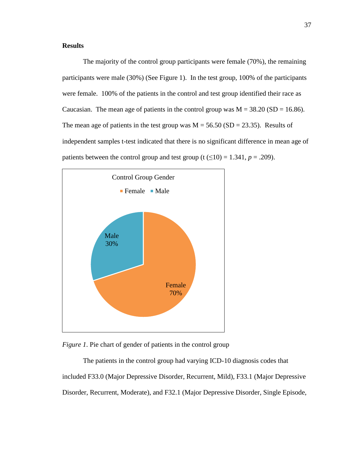# **Results**

The majority of the control group participants were female (70%), the remaining participants were male (30%) (See Figure 1). In the test group, 100% of the participants were female. 100% of the patients in the control and test group identified their race as Caucasian. The mean age of patients in the control group was  $M = 38.20$  (SD = 16.86). The mean age of patients in the test group was  $M = 56.50$  (SD = 23.35). Results of independent samples t-test indicated that there is no significant difference in mean age of patients between the control group and test group (t  $(\leq 10) = 1.341$ ,  $p = .209$ ).





The patients in the control group had varying ICD-10 diagnosis codes that included F33.0 (Major Depressive Disorder, Recurrent, Mild), F33.1 (Major Depressive Disorder, Recurrent, Moderate), and F32.1 (Major Depressive Disorder, Single Episode,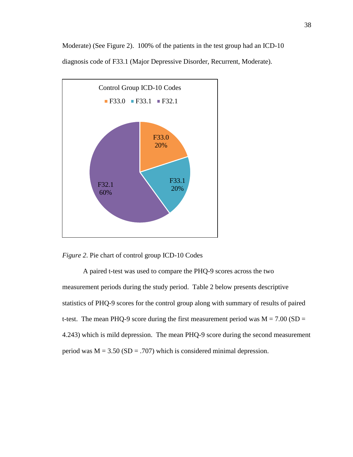

Moderate) (See Figure 2). 100% of the patients in the test group had an ICD-10 diagnosis code of F33.1 (Major Depressive Disorder, Recurrent, Moderate).

*Figure 2*. Pie chart of control group ICD-10 Codes

A paired t-test was used to compare the PHQ-9 scores across the two measurement periods during the study period. Table 2 below presents descriptive statistics of PHQ-9 scores for the control group along with summary of results of paired t-test. The mean PHQ-9 score during the first measurement period was  $M = 7.00$  (SD = 4.243) which is mild depression. The mean PHQ-9 score during the second measurement period was  $M = 3.50$  (SD = .707) which is considered minimal depression.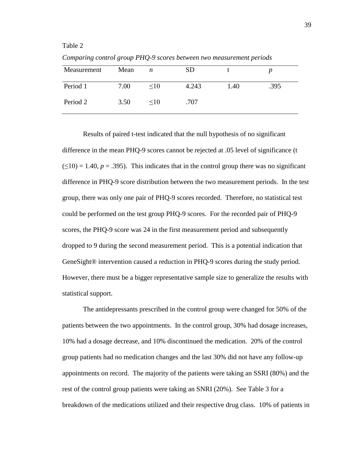Table 2

| Measurement | Mean | n         | <b>SD</b> |      |      |
|-------------|------|-----------|-----------|------|------|
| Period 1    | 7.00 | $\leq 10$ | 4.243     | 1.40 | .395 |
| Period 2    | 3.50 | $\leq$ 10 | .707      |      |      |

*Comparing control group PHQ-9 scores between two measurement periods*

Results of paired t-test indicated that the null hypothesis of no significant difference in the mean PHQ-9 scores cannot be rejected at .05 level of significance (t  $(\leq 10) = 1.40$ ,  $p = .395$ ). This indicates that in the control group there was no significant difference in PHQ-9 score distribution between the two measurement periods. In the test group, there was only one pair of PHQ-9 scores recorded. Therefore, no statistical test could be performed on the test group PHQ-9 scores. For the recorded pair of PHQ-9 scores, the PHQ-9 score was 24 in the first measurement period and subsequently dropped to 9 during the second measurement period. This is a potential indication that GeneSight<sup>®</sup> intervention caused a reduction in PHQ-9 scores during the study period. However, there must be a bigger representative sample size to generalize the results with statistical support.

The antidepressants prescribed in the control group were changed for 50% of the patients between the two appointments. In the control group, 30% had dosage increases, 10% had a dosage decrease, and 10% discontinued the medication. 20% of the control group patients had no medication changes and the last 30% did not have any follow-up appointments on record. The majority of the patients were taking an SSRI (80%) and the rest of the control group patients were taking an SNRI (20%). See Table 3 for a breakdown of the medications utilized and their respective drug class. 10% of patients in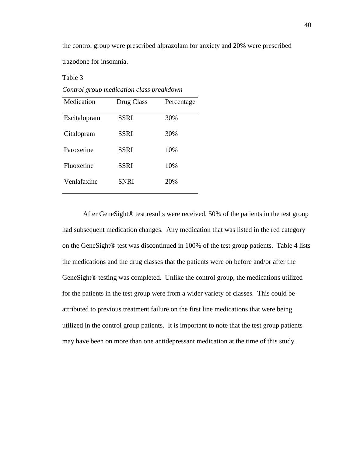the control group were prescribed alprazolam for anxiety and 20% were prescribed trazodone for insomnia.

*Control group medication class breakdown* Medication Drug Class Percentage Escitalopram SSRI 30% Citalopram SSRI 30% Paroxetine SSRI 10% Fluoxetine SSRI 10% Venlafaxine SNRI 20%

Table 3

After GeneSight® test results were received, 50% of the patients in the test group had subsequent medication changes. Any medication that was listed in the red category on the GeneSight® test was discontinued in 100% of the test group patients. Table 4 lists the medications and the drug classes that the patients were on before and/or after the GeneSight® testing was completed. Unlike the control group, the medications utilized for the patients in the test group were from a wider variety of classes. This could be attributed to previous treatment failure on the first line medications that were being utilized in the control group patients. It is important to note that the test group patients may have been on more than one antidepressant medication at the time of this study.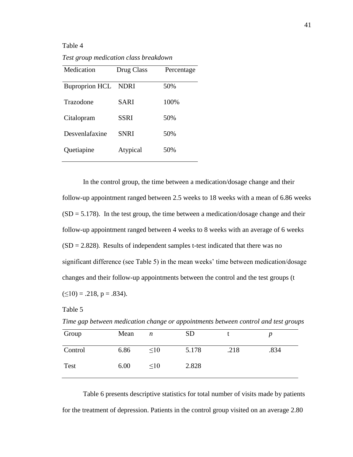Table 4

*Test group medication class breakdown*

| Medication            | Drug Class  | Percentage |
|-----------------------|-------------|------------|
| <b>Buproprion HCL</b> | <b>NDRI</b> | 50%        |
| Trazodone             | SARI        | 100%       |
| Citalopram            | SSRI        | 50%        |
| Desvenlafaxine        | <b>SNRI</b> | 50%        |
| Quetiapine            | Atypical    | 50%        |

In the control group, the time between a medication/dosage change and their follow-up appointment ranged between 2.5 weeks to 18 weeks with a mean of 6.86 weeks  $(SD = 5.178)$ . In the test group, the time between a medication/dosage change and their follow-up appointment ranged between 4 weeks to 8 weeks with an average of 6 weeks  $(SD = 2.828)$ . Results of independent samples t-test indicated that there was no significant difference (see Table 5) in the mean weeks' time between medication/dosage changes and their follow-up appointments between the control and the test groups (t  $(\leq 10) = .218$ , p = .834).

Table 5

*Time gap between medication change or appointments between control and test groups*

| Group   | Mean | n         | <b>SD</b> |      |      |
|---------|------|-----------|-----------|------|------|
| Control | 6.86 | $\leq 10$ | 5.178     | .218 | .834 |
| Test    | 6.00 | <10       | 2.828     |      |      |

Table 6 presents descriptive statistics for total number of visits made by patients for the treatment of depression. Patients in the control group visited on an average 2.80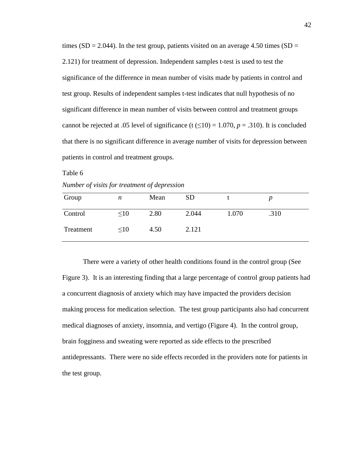times (SD = 2.044). In the test group, patients visited on an average 4.50 times (SD = 2.121) for treatment of depression. Independent samples t-test is used to test the significance of the difference in mean number of visits made by patients in control and test group. Results of independent samples t-test indicates that null hypothesis of no significant difference in mean number of visits between control and treatment groups cannot be rejected at .05 level of significance (t  $(\leq 10) = 1.070$ ,  $p = .310$ ). It is concluded that there is no significant difference in average number of visits for depression between patients in control and treatment groups.

Table 6

*Number of visits for treatment of depression*

| Group     | n         | Mean | <b>SD</b> |       |      |
|-----------|-----------|------|-----------|-------|------|
| Control   | <10       | 2.80 | 2.044     | 1.070 | .310 |
| Treatment | $\leq 10$ | 4.50 | 2.121     |       |      |

There were a variety of other health conditions found in the control group (See Figure 3). It is an interesting finding that a large percentage of control group patients had a concurrent diagnosis of anxiety which may have impacted the providers decision making process for medication selection. The test group participants also had concurrent medical diagnoses of anxiety, insomnia, and vertigo (Figure 4). In the control group, brain fogginess and sweating were reported as side effects to the prescribed antidepressants. There were no side effects recorded in the providers note for patients in the test group.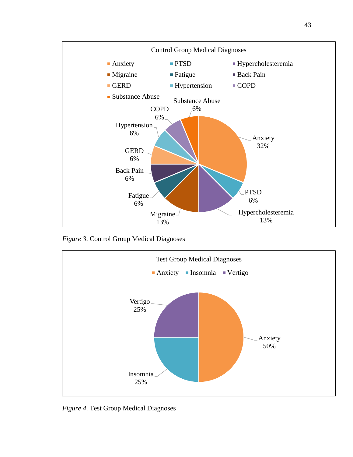

*Figure 3*. Control Group Medical Diagnoses



*Figure 4*. Test Group Medical Diagnoses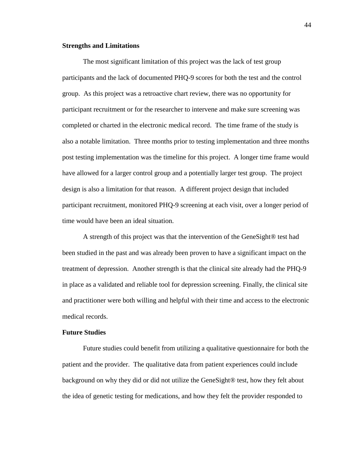## **Strengths and Limitations**

The most significant limitation of this project was the lack of test group participants and the lack of documented PHQ-9 scores for both the test and the control group. As this project was a retroactive chart review, there was no opportunity for participant recruitment or for the researcher to intervene and make sure screening was completed or charted in the electronic medical record. The time frame of the study is also a notable limitation. Three months prior to testing implementation and three months post testing implementation was the timeline for this project. A longer time frame would have allowed for a larger control group and a potentially larger test group. The project design is also a limitation for that reason. A different project design that included participant recruitment, monitored PHQ-9 screening at each visit, over a longer period of time would have been an ideal situation.

A strength of this project was that the intervention of the GeneSight® test had been studied in the past and was already been proven to have a significant impact on the treatment of depression. Another strength is that the clinical site already had the PHQ-9 in place as a validated and reliable tool for depression screening. Finally, the clinical site and practitioner were both willing and helpful with their time and access to the electronic medical records.

# **Future Studies**

Future studies could benefit from utilizing a qualitative questionnaire for both the patient and the provider. The qualitative data from patient experiences could include background on why they did or did not utilize the GeneSight® test, how they felt about the idea of genetic testing for medications, and how they felt the provider responded to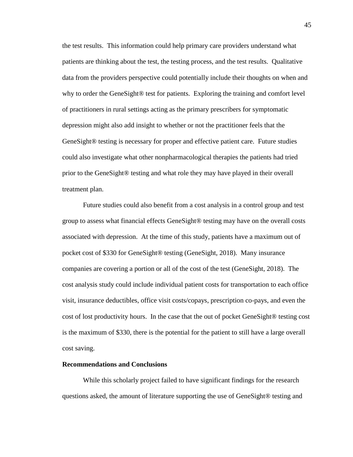the test results. This information could help primary care providers understand what patients are thinking about the test, the testing process, and the test results. Qualitative data from the providers perspective could potentially include their thoughts on when and why to order the GeneSight<sup>®</sup> test for patients. Exploring the training and comfort level of practitioners in rural settings acting as the primary prescribers for symptomatic depression might also add insight to whether or not the practitioner feels that the GeneSight® testing is necessary for proper and effective patient care. Future studies could also investigate what other nonpharmacological therapies the patients had tried prior to the GeneSight® testing and what role they may have played in their overall treatment plan.

Future studies could also benefit from a cost analysis in a control group and test group to assess what financial effects GeneSight® testing may have on the overall costs associated with depression. At the time of this study, patients have a maximum out of pocket cost of \$330 for GeneSight® testing (GeneSight, 2018). Many insurance companies are covering a portion or all of the cost of the test (GeneSight, 2018). The cost analysis study could include individual patient costs for transportation to each office visit, insurance deductibles, office visit costs/copays, prescription co-pays, and even the cost of lost productivity hours. In the case that the out of pocket GeneSight® testing cost is the maximum of \$330, there is the potential for the patient to still have a large overall cost saving.

## **Recommendations and Conclusions**

While this scholarly project failed to have significant findings for the research questions asked, the amount of literature supporting the use of GeneSight® testing and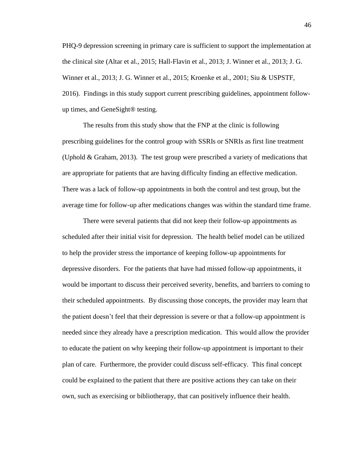PHQ-9 depression screening in primary care is sufficient to support the implementation at the clinical site (Altar et al., 2015; Hall-Flavin et al., 2013; J. Winner et al., 2013; J. G. Winner et al., 2013; J. G. Winner et al., 2015; Kroenke et al., 2001; Siu & USPSTF, 2016). Findings in this study support current prescribing guidelines, appointment followup times, and GeneSight® testing.

The results from this study show that the FNP at the clinic is following prescribing guidelines for the control group with SSRIs or SNRIs as first line treatment (Uphold & Graham, 2013). The test group were prescribed a variety of medications that are appropriate for patients that are having difficulty finding an effective medication. There was a lack of follow-up appointments in both the control and test group, but the average time for follow-up after medications changes was within the standard time frame.

There were several patients that did not keep their follow-up appointments as scheduled after their initial visit for depression. The health belief model can be utilized to help the provider stress the importance of keeping follow-up appointments for depressive disorders. For the patients that have had missed follow-up appointments, it would be important to discuss their perceived severity, benefits, and barriers to coming to their scheduled appointments. By discussing those concepts, the provider may learn that the patient doesn't feel that their depression is severe or that a follow-up appointment is needed since they already have a prescription medication. This would allow the provider to educate the patient on why keeping their follow-up appointment is important to their plan of care. Furthermore, the provider could discuss self-efficacy. This final concept could be explained to the patient that there are positive actions they can take on their own, such as exercising or bibliotherapy, that can positively influence their health.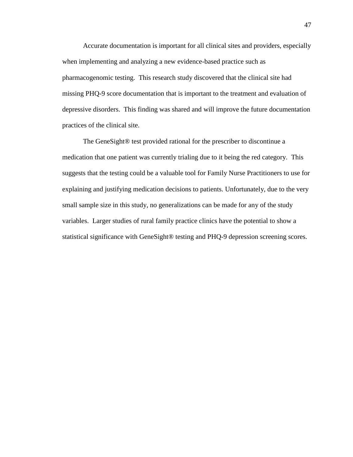Accurate documentation is important for all clinical sites and providers, especially when implementing and analyzing a new evidence-based practice such as pharmacogenomic testing. This research study discovered that the clinical site had missing PHQ-9 score documentation that is important to the treatment and evaluation of depressive disorders. This finding was shared and will improve the future documentation practices of the clinical site.

The GeneSight® test provided rational for the prescriber to discontinue a medication that one patient was currently trialing due to it being the red category. This suggests that the testing could be a valuable tool for Family Nurse Practitioners to use for explaining and justifying medication decisions to patients. Unfortunately, due to the very small sample size in this study, no generalizations can be made for any of the study variables. Larger studies of rural family practice clinics have the potential to show a statistical significance with GeneSight® testing and PHQ-9 depression screening scores.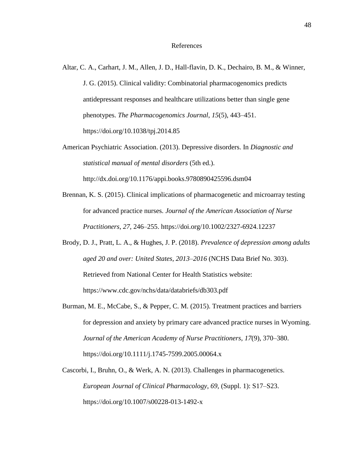# References

- Altar, C. A., Carhart, J. M., Allen, J. D., Hall-flavin, D. K., Dechairo, B. M., & Winner, J. G. (2015). Clinical validity: Combinatorial pharmacogenomics predicts antidepressant responses and healthcare utilizations better than single gene phenotypes. *The Pharmacogenomics Journal*, *15*(5), 443–451. https://doi.org/10.1038/tpj.2014.85
- American Psychiatric Association. (2013). Depressive disorders. In *Diagnostic and statistical manual of mental disorders* (5th ed.).

http://dx.doi.org/10.1176/appi.books.9780890425596.dsm04

- Brennan, K. S. (2015). Clinical implications of pharmacogenetic and microarray testing for advanced practice nurses. *Journal of the American Association of Nurse Practitioners*, *27*, 246–255. https://doi.org/10.1002/2327-6924.12237
- Brody, D. J., Pratt, L. A., & Hughes, J. P. (2018). *Prevalence of depression among adults aged 20 and over: United States, 2013–2016* (NCHS Data Brief No. 303). Retrieved from National Center for Health Statistics website: https://www.cdc.gov/nchs/data/databriefs/db303.pdf
- Burman, M. E., McCabe, S., & Pepper, C. M. (2015). Treatment practices and barriers for depression and anxiety by primary care advanced practice nurses in Wyoming. *Journal of the American Academy of Nurse Practitioners*, *17*(9), 370–380. https://doi.org/10.1111/j.1745-7599.2005.00064.x
- Cascorbi, I., Bruhn, O., & Werk, A. N. (2013). Challenges in pharmacogenetics. *European Journal of Clinical Pharmacology*, *69*, (Suppl. 1): S17–S23. https://doi.org/10.1007/s00228-013-1492-x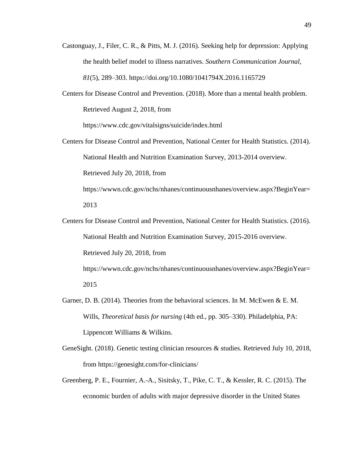- Castonguay, J., Filer, C. R., & Pitts, M. J. (2016). Seeking help for depression: Applying the health belief model to illness narratives. *Southern Communication Journal*, *81*(5), 289–303. https://doi.org/10.1080/1041794X.2016.1165729
- Centers for Disease Control and Prevention. (2018). More than a mental health problem. Retrieved August 2, 2018, from

https://www.cdc.gov/vitalsigns/suicide/index.html

- Centers for Disease Control and Prevention, National Center for Health Statistics. (2014). National Health and Nutrition Examination Survey, 2013-2014 overview. Retrieved July 20, 2018, from https://wwwn.cdc.gov/nchs/nhanes/continuousnhanes/overview.aspx?BeginYear= 2013
- Centers for Disease Control and Prevention, National Center for Health Statistics. (2016). National Health and Nutrition Examination Survey, 2015-2016 overview. Retrieved July 20, 2018, from https://wwwn.cdc.gov/nchs/nhanes/continuousnhanes/overview.aspx?BeginYear= 2015
- Garner, D. B. (2014). Theories from the behavioral sciences. In M. McEwen & E. M. Wills, *Theoretical basis for nursing* (4th ed., pp. 305–330). Philadelphia, PA: Lippencott Williams & Wilkins.
- GeneSight. (2018). Genetic testing clinician resources & studies. Retrieved July 10, 2018, from https://genesight.com/for-clinicians/
- Greenberg, P. E., Fournier, A.-A., Sisitsky, T., Pike, C. T., & Kessler, R. C. (2015). The economic burden of adults with major depressive disorder in the United States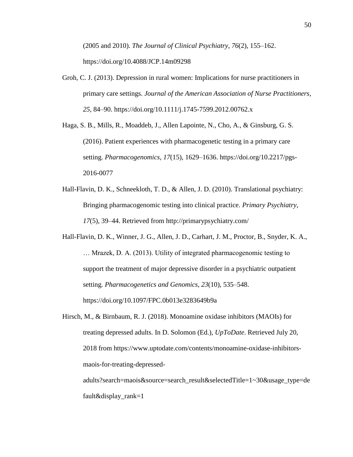(2005 and 2010). *The Journal of Clinical Psychiatry*, *76*(2), 155–162. https://doi.org/10.4088/JCP.14m09298

- Groh, C. J. (2013). Depression in rural women: Implications for nurse practitioners in primary care settings. *Journal of the American Association of Nurse Practitioners*, *25*, 84–90. https://doi.org/10.1111/j.1745-7599.2012.00762.x
- Haga, S. B., Mills, R., Moaddeb, J., Allen Lapointe, N., Cho, A., & Ginsburg, G. S. (2016). Patient experiences with pharmacogenetic testing in a primary care setting. *Pharmacogenomics*, *17*(15), 1629–1636. https://doi.org/10.2217/pgs-2016-0077
- Hall-Flavin, D. K., Schneekloth, T. D., & Allen, J. D. (2010). Translational psychiatry: Bringing pharmacogenomic testing into clinical practice. *Primary Psychiatry*, *17*(5), 39–44. Retrieved from http://primarypsychiatry.com/
- Hall-Flavin, D. K., Winner, J. G., Allen, J. D., Carhart, J. M., Proctor, B., Snyder, K. A., … Mrazek, D. A. (2013). Utility of integrated pharmacogenomic testing to support the treatment of major depressive disorder in a psychiatric outpatient setting. *Pharmacogenetics and Genomics*, *23*(10), 535–548. https://doi.org/10.1097/FPC.0b013e3283649b9a
- Hirsch, M., & Birnbaum, R. J. (2018). Monoamine oxidase inhibitors (MAOIs) for treating depressed adults. In D. Solomon (Ed.), *UpToDate*. Retrieved July 20, 2018 from https://www.uptodate.com/contents/monoamine-oxidase-inhibitorsmaois-for-treating-depressed-

adults?search=maois&source=search\_result&selectedTitle=1~30&usage\_type=de fault&display\_rank=1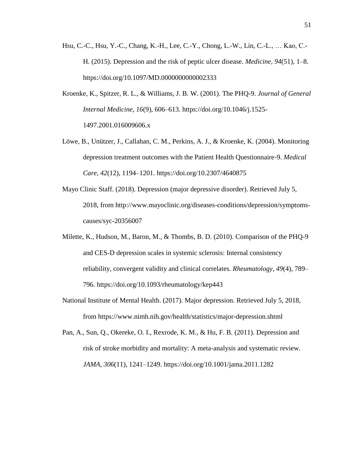- Hsu, C.-C., Hsu, Y.-C., Chang, K.-H., Lee, C.-Y., Chong, L.-W., Lin, C.-L., … Kao, C.- H. (2015). Depression and the risk of peptic ulcer disease. *Medicine*, *94*(51), 1–8. https://doi.org/10.1097/MD.0000000000002333
- Kroenke, K., Spitzer, R. L., & Williams, J. B. W. (2001). The PHQ-9. *Journal of General Internal Medicine*, *16*(9), 606–613. https://doi.org/10.1046/j.1525- 1497.2001.016009606.x
- Löwe, B., Unützer, J., Callahan, C. M., Perkins, A. J., & Kroenke, K. (2004). Monitoring depression treatment outcomes with the Patient Health Questionnaire-9. *Medical Care*, *42*(12), 1194–1201. https://doi.org/10.2307/4640875
- Mayo Clinic Staff. (2018). Depression (major depressive disorder). Retrieved July 5, 2018, from http://www.mayoclinic.org/diseases-conditions/depression/symptomscauses/syc-20356007
- Milette, K., Hudson, M., Baron, M., & Thombs, B. D. (2010). Comparison of the PHQ-9 and CES-D depression scales in systemic sclerosis: Internal consistency reliability, convergent validity and clinical correlates. *Rheumatology*, *49*(4), 789– 796. https://doi.org/10.1093/rheumatology/kep443
- National Institute of Mental Health. (2017). Major depression. Retrieved July 5, 2018, from https://www.nimh.nih.gov/health/statistics/major-depression.shtml
- Pan, A., Sun, Q., Okereke, O. I., Rexrode, K. M., & Hu, F. B. (2011). Depression and risk of stroke morbidity and mortality: A meta-analysis and systematic review. *JAMA*, *306*(11), 1241–1249. https://doi.org/10.1001/jama.2011.1282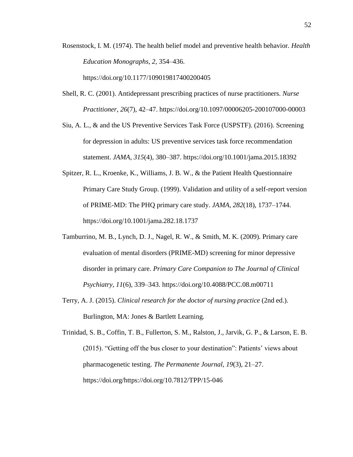Rosenstock, I. M. (1974). The health belief model and preventive health behavior. *Health Education Monographs*, *2*, 354–436.

https://doi.org/10.1177/109019817400200405

- Shell, R. C. (2001). Antidepressant prescribing practices of nurse practitioners. *Nurse Practitioner*, *26*(7), 42–47. https://doi.org/10.1097/00006205-200107000-00003
- Siu, A. L., & and the US Preventive Services Task Force (USPSTF). (2016). Screening for depression in adults: US preventive services task force recommendation statement. *JAMA*, *315*(4), 380–387. https://doi.org/10.1001/jama.2015.18392
- Spitzer, R. L., Kroenke, K., Williams, J. B. W., & the Patient Health Questionnaire Primary Care Study Group. (1999). Validation and utility of a self-report version of PRIME-MD: The PHQ primary care study. *JAMA*, *282*(18), 1737–1744. https://doi.org/10.1001/jama.282.18.1737
- Tamburrino, M. B., Lynch, D. J., Nagel, R. W., & Smith, M. K. (2009). Primary care evaluation of mental disorders (PRIME-MD) screening for minor depressive disorder in primary care. *Primary Care Companion to The Journal of Clinical Psychiatry*, *11*(6), 339–343. https://doi.org/10.4088/PCC.08.m00711
- Terry, A. J. (2015). *Clinical research for the doctor of nursing practice* (2nd ed.). Burlington, MA: Jones & Bartlett Learning.

Trinidad, S. B., Coffin, T. B., Fullerton, S. M., Ralston, J., Jarvik, G. P., & Larson, E. B. (2015). "Getting off the bus closer to your destination": Patients' views about pharmacogenetic testing. *The Permanente Journal*, *19*(3), 21–27. https://doi.org/https://doi.org/10.7812/TPP/15-046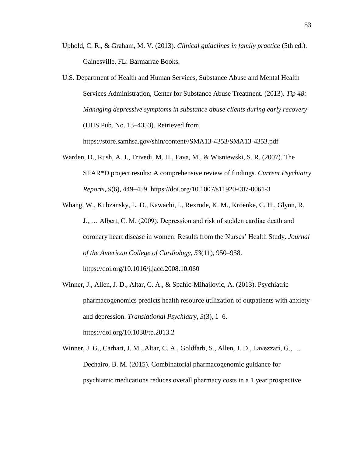- Uphold, C. R., & Graham, M. V. (2013). *Clinical guidelines in family practice* (5th ed.). Gainesville, FL: Barmarrae Books.
- U.S. Department of Health and Human Services, Substance Abuse and Mental Health Services Administration, Center for Substance Abuse Treatment. (2013). *Tip 48: Managing depressive symptoms in substance abuse clients during early recovery* (HHS Pub. No. 13–4353). Retrieved from

https://store.samhsa.gov/shin/content//SMA13-4353/SMA13-4353.pdf

- Warden, D., Rush, A. J., Trivedi, M. H., Fava, M., & Wisniewski, S. R. (2007). The STAR\*D project results: A comprehensive review of findings. *Current Psychiatry Reports*, *9*(6), 449–459. https://doi.org/10.1007/s11920-007-0061-3
- Whang, W., Kubzansky, L. D., Kawachi, I., Rexrode, K. M., Kroenke, C. H., Glynn, R. J., … Albert, C. M. (2009). Depression and risk of sudden cardiac death and coronary heart disease in women: Results from the Nurses' Health Study. *Journal of the American College of Cardiology*, *53*(11), 950–958. https://doi.org/10.1016/j.jacc.2008.10.060
- Winner, J., Allen, J. D., Altar, C. A., & Spahic-Mihajlovic, A. (2013). Psychiatric pharmacogenomics predicts health resource utilization of outpatients with anxiety and depression. *Translational Psychiatry*, *3*(3), 1–6. https://doi.org/10.1038/tp.2013.2
- Winner, J. G., Carhart, J. M., Altar, C. A., Goldfarb, S., Allen, J. D., Lavezzari, G., … Dechairo, B. M. (2015). Combinatorial pharmacogenomic guidance for psychiatric medications reduces overall pharmacy costs in a 1 year prospective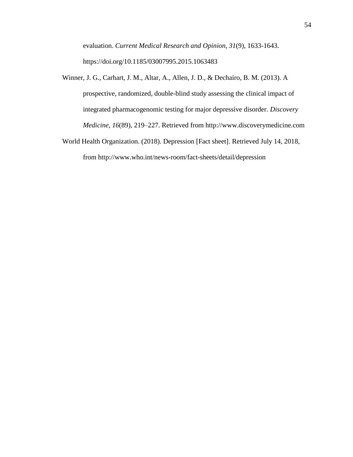evaluation. *Current Medical Research and Opinion*, *31*(9), 1633-1643. https://doi.org/10.1185/03007995.2015.1063483

- Winner, J. G., Carhart, J. M., Altar, A., Allen, J. D., & Dechairo, B. M. (2013). A prospective, randomized, double-blind study assessing the clinical impact of integrated pharmacogenomic testing for major depressive disorder. *Discovery Medicine*, *16*(89), 219–227. Retrieved from http://www.discoverymedicine.com
- World Health Organization. (2018). Depression [Fact sheet]. Retrieved July 14, 2018, from http://www.who.int/news-room/fact-sheets/detail/depression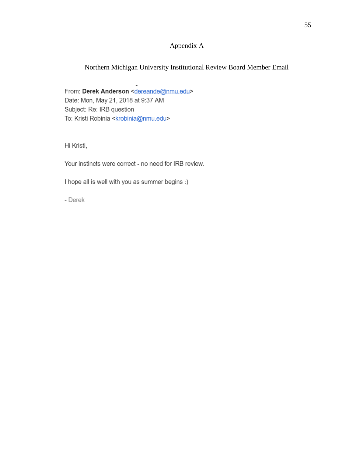# Appendix A

# Northern Michigan University Institutional Review Board Member Email

From: Derek Anderson <dereande@nmu.edu> Date: Mon, May 21, 2018 at 9:37 AM Subject: Re: IRB question To: Kristi Robinia <**krobinia@nmu.edu>** 

Hi Kristi,

Your instincts were correct - no need for IRB review.

I hope all is well with you as summer begins :)

- Derek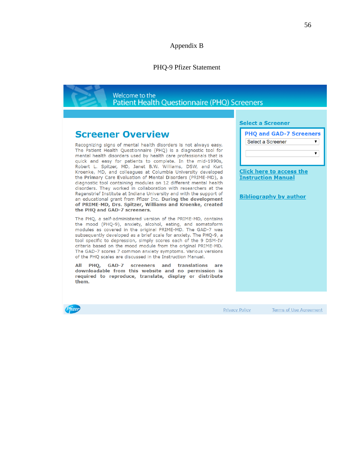# Appendix B

# PHQ-9 Pfizer Statement